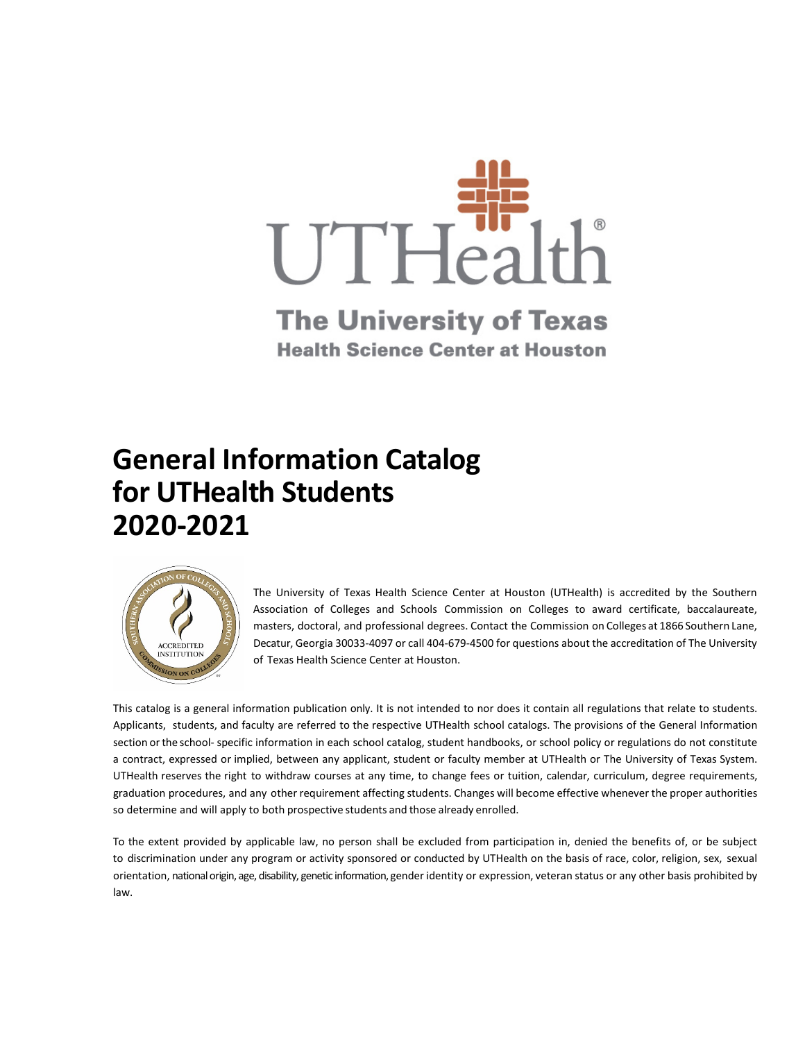

# **The University of Texas Health Science Center at Houston**

# **General Information Catalog for UTHealth Students 2020-2021**



The University of Texas Health Science Center at Houston (UTHealth) is accredited by the Southern Association of Colleges and Schools Commission on Colleges to award certificate, baccalaureate, masters, doctoral, and professional degrees. Contact the Commission on Colleges at 1866 Southern Lane, Decatur, Georgia 30033-4097 or call 404-679-4500 for questions about the accreditation of The University of Texas Health Science Center at Houston.

This catalog is a general information publication only. It is not intended to nor does it contain all regulations that relate to students. Applicants, students, and faculty are referred to the respective UTHealth school catalogs. The provisions of the General Information section orthe school- specific information in each school catalog, student handbooks, or school policy or regulations do not constitute a contract, expressed or implied, between any applicant, student or faculty member at UTHealth or The University of Texas System. UTHealth reserves the right to withdraw courses at any time, to change fees or tuition, calendar, curriculum, degree requirements, graduation procedures, and any other requirement affecting students. Changes will become effective whenever the proper authorities so determine and will apply to both prospective students and those already enrolled.

To the extent provided by applicable law, no person shall be excluded from participation in, denied the benefits of, or be subject to discrimination under any program or activity sponsored or conducted by UTHealth on the basis of race, color, religion, sex, sexual orientation, national origin, age, disability, genetic information, gender identity or expression, veteran status or any other basis prohibited by law.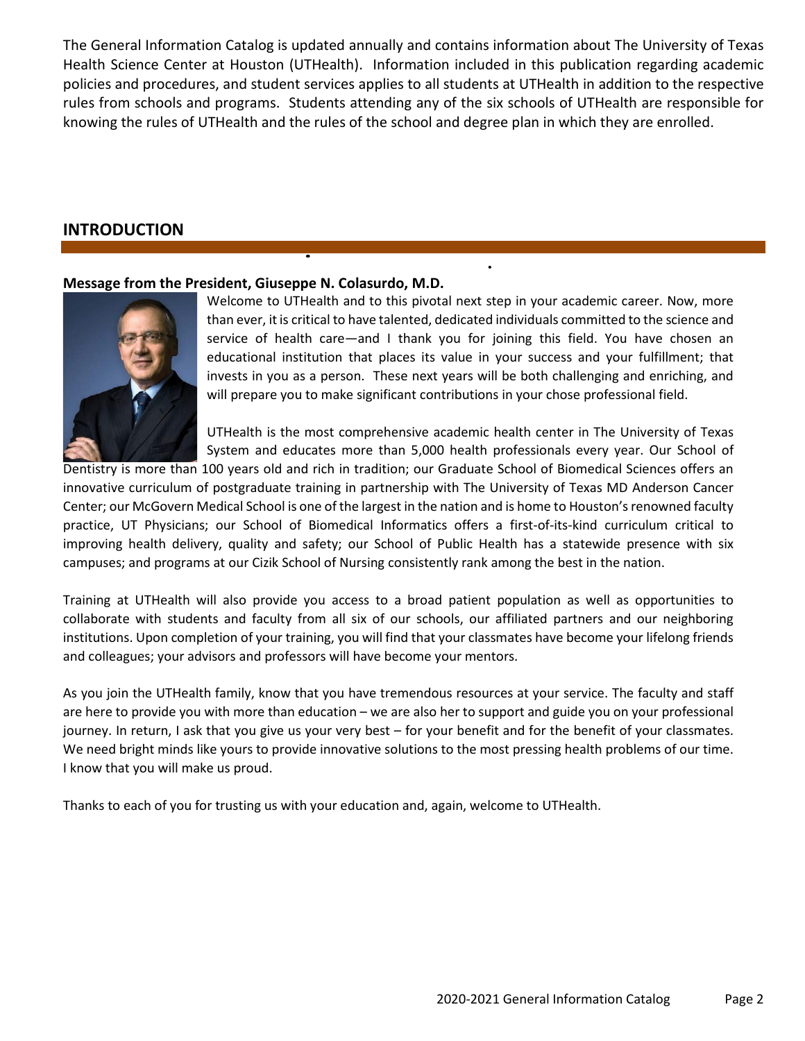The General Information Catalog is updated annually and contains information about The University of Texas Health Science Center at Houston (UTHealth). Information included in this publication regarding academic policies and procedures, and student services applies to all students at UTHealth in addition to the respective rules from schools and programs. Students attending any of the six schools of UTHealth are responsible for knowing the rules of UTHealth and the rules of the school and degree plan in which they are enrolled.

# **INTRODUCTION**

## **Message from the President, Giuseppe N. Colasurdo, M.D.**



Welcome to UTHealth and to this pivotal next step in your academic career. Now, more than ever, it is critical to have talented, dedicated individuals committed to the science and service of health care—and I thank you for joining this field. You have chosen an educational institution that places its value in your success and your fulfillment; that invests in you as a person. These next years will be both challenging and enriching, and will prepare you to make significant contributions in your chose professional field.

 $\ddot{\phantom{0}}$ 

UTHealth is the most comprehensive academic health center in The University of Texas System and educates more than 5,000 health professionals every year. Our School of

Dentistry is more than 100 years old and rich in tradition; our Graduate School of Biomedical Sciences offers an innovative curriculum of postgraduate training in partnership with The University of Texas MD Anderson Cancer Center; our McGovern Medical School is one of the largest in the nation and is home to Houston's renowned faculty practice, UT Physicians; our School of Biomedical Informatics offers a first-of-its-kind curriculum critical to improving health delivery, quality and safety; our School of Public Health has a statewide presence with six campuses; and programs at our Cizik School of Nursing consistently rank among the best in the nation.

Training at UTHealth will also provide you access to a broad patient population as well as opportunities to collaborate with students and faculty from all six of our schools, our affiliated partners and our neighboring institutions. Upon completion of your training, you will find that your classmates have become your lifelong friends and colleagues; your advisors and professors will have become your mentors.

As you join the UTHealth family, know that you have tremendous resources at your service. The faculty and staff are here to provide you with more than education – we are also her to support and guide you on your professional journey. In return, I ask that you give us your very best – for your benefit and for the benefit of your classmates. We need bright minds like yours to provide innovative solutions to the most pressing health problems of our time. I know that you will make us proud.

Thanks to each of you for trusting us with your education and, again, welcome to UTHealth.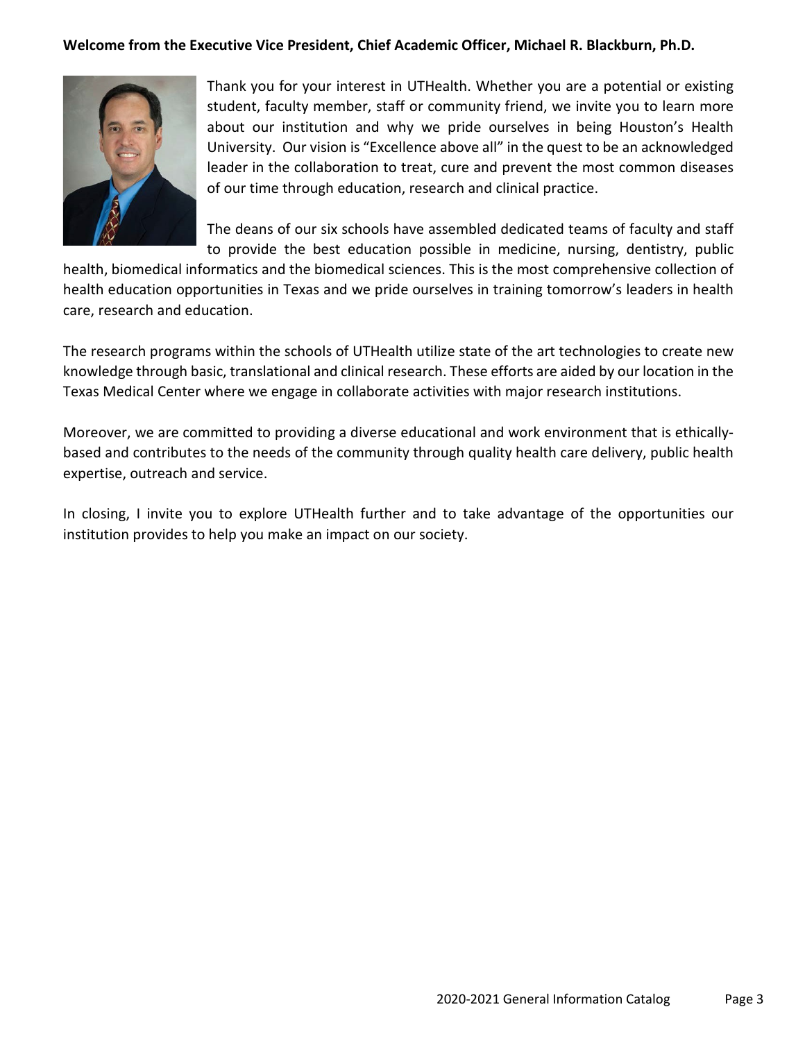## **Welcome from the Executive Vice President, Chief Academic Officer, Michael R. Blackburn, Ph.D.**



Thank you for your interest in UTHealth. Whether you are a potential or existing student, faculty member, staff or community friend, we invite you to learn more about our institution and why we pride ourselves in being Houston's Health University. Our vision is "Excellence above all" in the quest to be an acknowledged leader in the collaboration to treat, cure and prevent the most common diseases of our time through education, research and clinical practice.

The deans of our six schools have assembled dedicated teams of faculty and staff to provide the best education possible in medicine, nursing, dentistry, public

health, biomedical informatics and the biomedical sciences. This is the most comprehensive collection of health education opportunities in Texas and we pride ourselves in training tomorrow's leaders in health care, research and education.

The research programs within the schools of UTHealth utilize state of the art technologies to create new knowledge through basic, translational and clinical research. These efforts are aided by our location in the Texas Medical Center where we engage in collaborate activities with major research institutions.

Moreover, we are committed to providing a diverse educational and work environment that is ethicallybased and contributes to the needs of the community through quality health care delivery, public health expertise, outreach and service.

In closing, I invite you to explore UTHealth further and to take advantage of the opportunities our institution provides to help you make an impact on our society.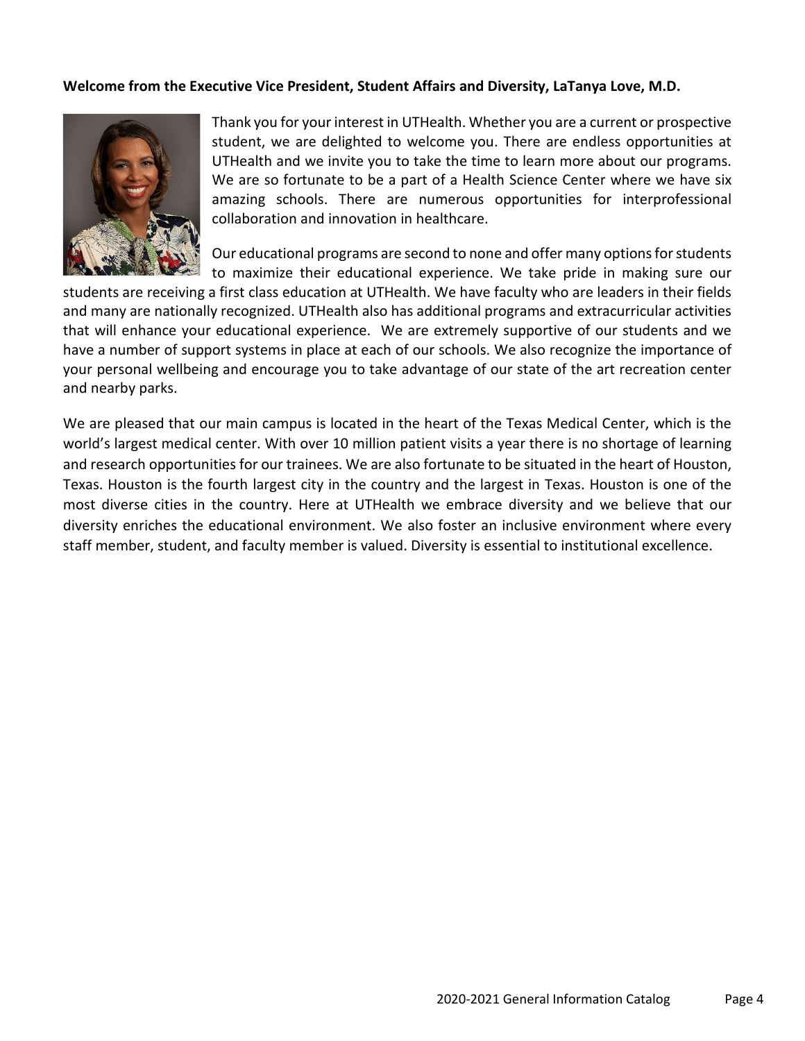## **Welcome from the Executive Vice President, Student Affairs and Diversity, LaTanya Love, M.D.**



Thank you for your interest in UTHealth. Whether you are a current or prospective student, we are delighted to welcome you. There are endless opportunities at UTHealth and we invite you to take the time to learn more about our programs. We are so fortunate to be a part of a Health Science Center where we have six amazing schools. There are numerous opportunities for interprofessional collaboration and innovation in healthcare.

Our educational programs are second to none and offer many options for students to maximize their educational experience. We take pride in making sure our

students are receiving a first class education at UTHealth. We have faculty who are leaders in their fields and many are nationally recognized. UTHealth also has additional programs and extracurricular activities that will enhance your educational experience. We are extremely supportive of our students and we have a number of support systems in place at each of our schools. We also recognize the importance of your personal wellbeing and encourage you to take advantage of our state of the art recreation center and nearby parks.

We are pleased that our main campus is located in the heart of the Texas Medical Center, which is the world's largest medical center. With over 10 million patient visits a year there is no shortage of learning and research opportunities for our trainees. We are also fortunate to be situated in the heart of Houston, Texas. Houston is the fourth largest city in the country and the largest in Texas. Houston is one of the most diverse cities in the country. Here at UTHealth we embrace diversity and we believe that our diversity enriches the educational environment. We also foster an inclusive environment where every staff member, student, and faculty member is valued. Diversity is essential to institutional excellence.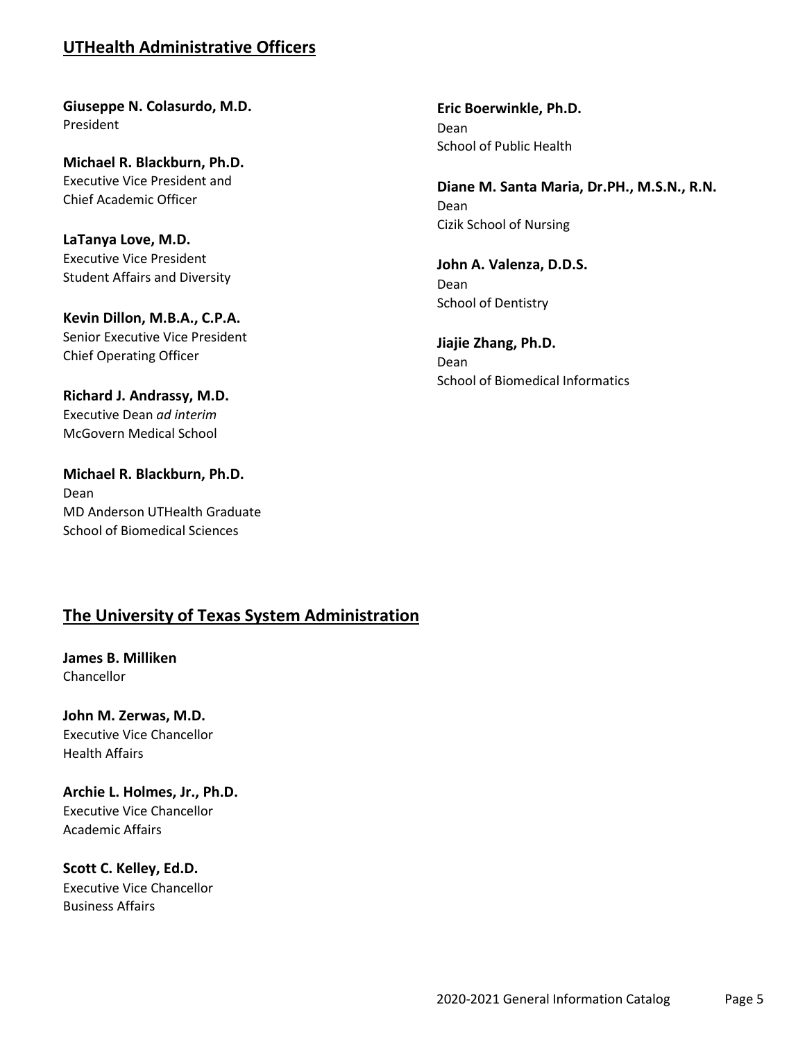# **UTHealth Administrative Officers**

**Giuseppe N. Colasurdo, M.D.** President

**Michael R. Blackburn, Ph.D.** Executive Vice President and Chief Academic Officer

**LaTanya Love, M.D.** Executive Vice President Student Affairs and Diversity

**Kevin Dillon, M.B.A., C.P.A.** Senior Executive Vice President Chief Operating Officer

**Richard J. Andrassy, M.D.** Executive Dean *ad interim* McGovern Medical School

**Michael R. Blackburn, Ph.D.** Dean MD Anderson UTHealth Graduate School of Biomedical Sciences

**Eric Boerwinkle, Ph.D.** Dean School of Public Health

**Diane M. Santa Maria, Dr.PH., M.S.N., R.N.** Dean Cizik School of Nursing

**John A. Valenza, D.D.S.** Dean School of Dentistry

**Jiajie Zhang, Ph.D.** Dean School of Biomedical Informatics

# **The University of Texas System Administration**

**James B. Milliken Chancellor** 

**John M. Zerwas, M.D.** Executive Vice Chancellor Health Affairs

**Archie L. Holmes, Jr., Ph.D.** Executive Vice Chancellor Academic Affairs

**Scott C. Kelley, Ed.D.** Executive Vice Chancellor Business Affairs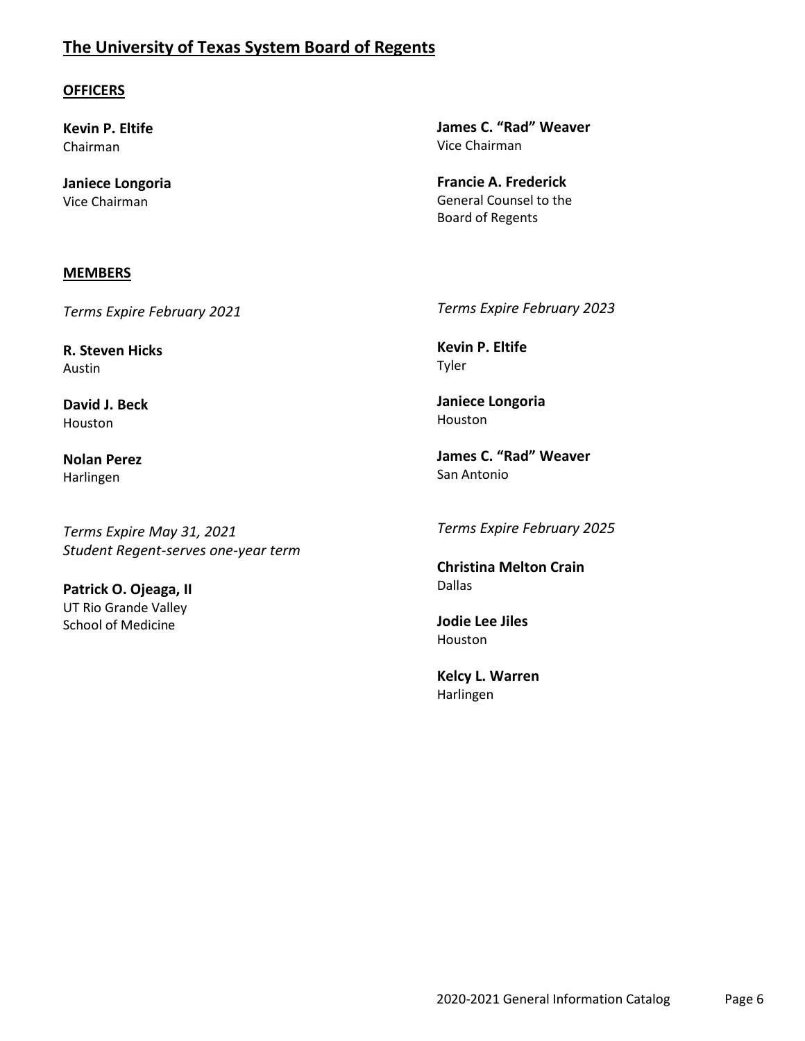# **The University of Texas System Board of Regents**

## **OFFICERS**

**Kevin P. Eltife** Chairman

**Janiece Longoria** Vice Chairman

#### **MEMBERS**

*Terms Expire February 2021*

**R. Steven Hicks** Austin

**David J. Beck** Houston

**Nolan Perez** Harlingen

*Terms Expire May 31, 2021 Student Regent-serves one-year term*

**Patrick O. Ojeaga, II** UT Rio Grande Valley School of Medicine

**James C. "Rad" Weaver** Vice Chairman

**Francie A. Frederick** General Counsel to the Board of Regents

*Terms Expire February 2023*

**Kevin P. Eltife** Tyler

**Janiece Longoria** Houston

**James C. "Rad" Weaver** San Antonio

*Terms Expire February 2025*

**Christina Melton Crain** Dallas

**Jodie Lee Jiles** Houston

**Kelcy L. Warren** Harlingen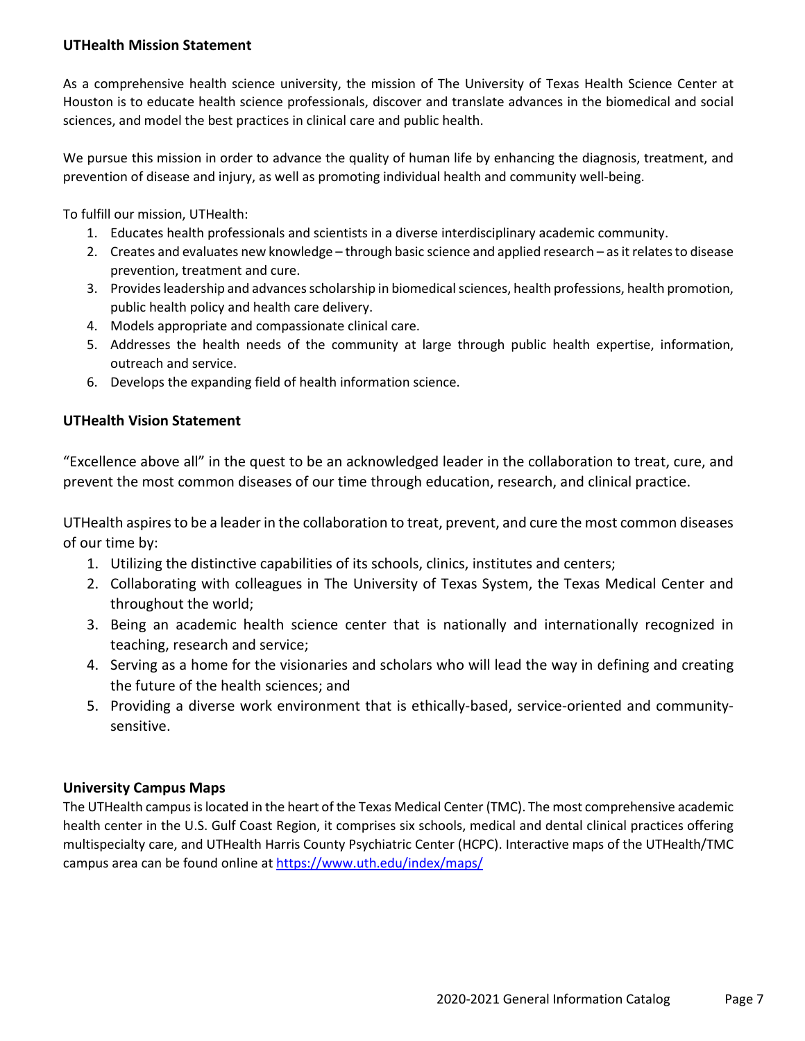## **UTHealth Mission Statement**

As a comprehensive health science university, the mission of The University of Texas Health Science Center at Houston is to educate health science professionals, discover and translate advances in the biomedical and social sciences, and model the best practices in clinical care and public health.

We pursue this mission in order to advance the quality of human life by enhancing the diagnosis, treatment, and prevention of disease and injury, as well as promoting individual health and community well-being.

To fulfill our mission, UTHealth:

- 1. Educates health professionals and scientists in a diverse interdisciplinary academic community.
- 2. Creates and evaluates new knowledge through basic science and applied research as it relates to disease prevention, treatment and cure.
- 3. Provides leadership and advances scholarship in biomedical sciences, health professions, health promotion, public health policy and health care delivery.
- 4. Models appropriate and compassionate clinical care.
- 5. Addresses the health needs of the community at large through public health expertise, information, outreach and service.
- 6. Develops the expanding field of health information science.

## **UTHealth Vision Statement**

"Excellence above all" in the quest to be an acknowledged leader in the collaboration to treat, cure, and prevent the most common diseases of our time through education, research, and clinical practice.

UTHealth aspires to be a leader in the collaboration to treat, prevent, and cure the most common diseases of our time by:

- 1. Utilizing the distinctive capabilities of its schools, clinics, institutes and centers;
- 2. Collaborating with colleagues in The University of Texas System, the Texas Medical Center and throughout the world;
- 3. Being an academic health science center that is nationally and internationally recognized in teaching, research and service;
- 4. Serving as a home for the visionaries and scholars who will lead the way in defining and creating the future of the health sciences; and
- 5. Providing a diverse work environment that is ethically-based, service-oriented and communitysensitive.

## **University Campus Maps**

The UTHealth campus is located in the heart of the Texas Medical Center (TMC). The most comprehensive academic health center in the U.S. Gulf Coast Region, it comprises six schools, medical and dental clinical practices offering multispecialty care, and UTHealth Harris County Psychiatric Center (HCPC). Interactive maps of the UTHealth/TMC campus area can be found online at<https://www.uth.edu/index/maps/>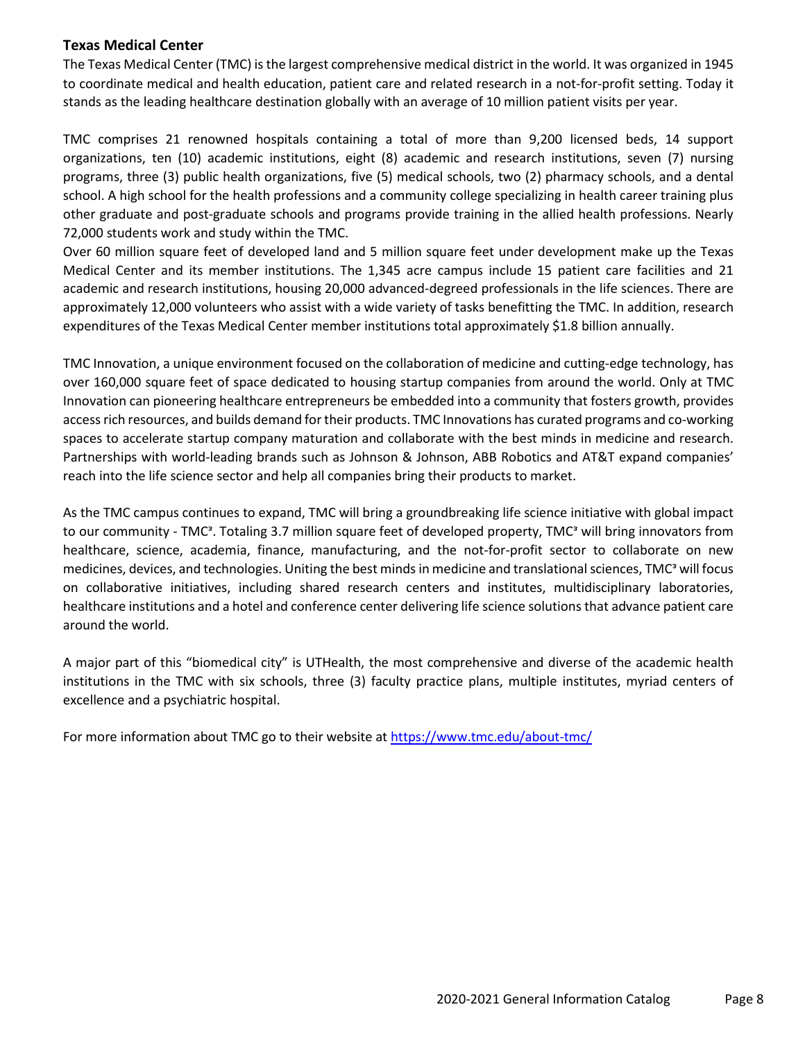#### **Texas Medical Center**

The Texas Medical Center (TMC) is the largest comprehensive medical district in the world. It was organized in 1945 to coordinate medical and health education, patient care and related research in a not-for-profit setting. Today it stands as the leading healthcare destination globally with an average of 10 million patient visits per year.

TMC comprises 21 renowned hospitals containing a total of more than 9,200 licensed beds, 14 support organizations, ten (10) academic institutions, eight (8) academic and research institutions, seven (7) nursing programs, three (3) public health organizations, five (5) medical schools, two (2) pharmacy schools, and a dental school. A high school for the health professions and a community college specializing in health career training plus other graduate and post-graduate schools and programs provide training in the allied health professions. Nearly 72,000 students work and study within the TMC.

Over 60 million square feet of developed land and 5 million square feet under development make up the Texas Medical Center and its member institutions. The 1,345 acre campus include 15 patient care facilities and 21 academic and research institutions, housing 20,000 advanced-degreed professionals in the life sciences. There are approximately 12,000 volunteers who assist with a wide variety of tasks benefitting the TMC. In addition, research expenditures of the Texas Medical Center member institutions total approximately \$1.8 billion annually.

TMC Innovation, a unique environment focused on the collaboration of medicine and cutting-edge technology, has over 160,000 square feet of space dedicated to housing startup companies from around the world. Only at TMC Innovation can pioneering healthcare entrepreneurs be embedded into a community that fosters growth, provides access rich resources, and builds demand for their products. TMC Innovations has curated programs and co-working spaces to accelerate startup company maturation and collaborate with the best minds in medicine and research. Partnerships with world-leading brands such as Johnson & Johnson, ABB Robotics and AT&T expand companies' reach into the life science sector and help all companies bring their products to market.

As the TMC campus continues to expand, TMC will bring a groundbreaking life science initiative with global impact to our community - TMC<sup>3</sup>. Totaling 3.7 million square feet of developed property, TMC<sup>3</sup> will bring innovators from healthcare, science, academia, finance, manufacturing, and the not-for-profit sector to collaborate on new medicines, devices, and technologies. Uniting the best minds in medicine and translational sciences, TMC<sup>3</sup> will focus on collaborative initiatives, including shared research centers and institutes, multidisciplinary laboratories, healthcare institutions and a hotel and conference center delivering life science solutions that advance patient care around the world.

A major part of this "biomedical city" is UTHealth, the most comprehensive and diverse of the academic health institutions in the TMC with six schools, three (3) faculty practice plans, multiple institutes, myriad centers of excellence and a psychiatric hospital.

For more information about TMC go to their website at<https://www.tmc.edu/about-tmc/>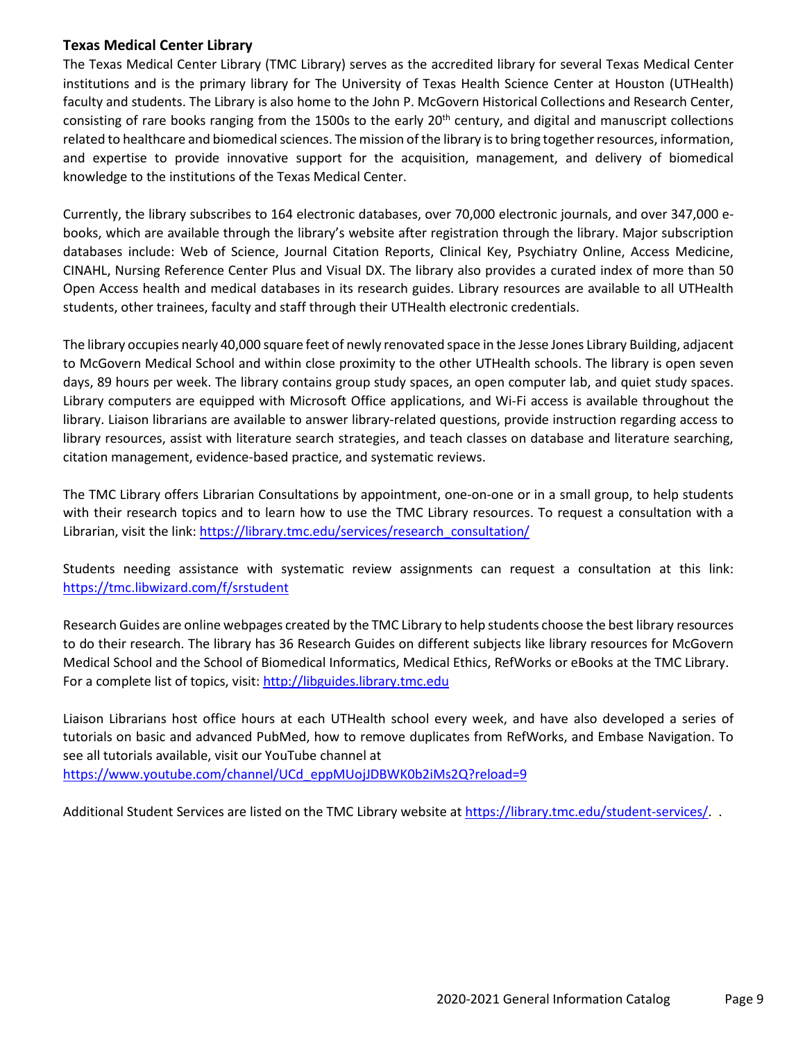## **Texas Medical Center Library**

The Texas Medical Center Library (TMC Library) serves as the accredited library for several Texas Medical Center institutions and is the primary library for The University of Texas Health Science Center at Houston (UTHealth) faculty and students. The Library is also home to the John P. McGovern Historical Collections and Research Center, consisting of rare books ranging from the 1500s to the early  $20<sup>th</sup>$  century, and digital and manuscript collections related to healthcare and biomedical sciences. The mission of the library is to bring together resources, information, and expertise to provide innovative support for the acquisition, management, and delivery of biomedical knowledge to the institutions of the Texas Medical Center.

Currently, the library subscribes to 164 electronic databases, over 70,000 electronic journals, and over 347,000 ebooks, which are available through the library's website after registration through the library. Major subscription databases include: Web of Science, Journal Citation Reports, Clinical Key, Psychiatry Online, Access Medicine, CINAHL, Nursing Reference Center Plus and Visual DX. The library also provides a curated index of more than 50 Open Access health and medical databases in its research guides. Library resources are available to all UTHealth students, other trainees, faculty and staff through their UTHealth electronic credentials.

The library occupies nearly 40,000 square feet of newly renovated space in the Jesse Jones Library Building, adjacent to McGovern Medical School and within close proximity to the other UTHealth schools. The library is open seven days, 89 hours per week. The library contains group study spaces, an open computer lab, and quiet study spaces. Library computers are equipped with Microsoft Office applications, and Wi-Fi access is available throughout the library. Liaison librarians are available to answer library-related questions, provide instruction regarding access to library resources, assist with literature search strategies, and teach classes on database and literature searching, citation management, evidence-based practice, and systematic reviews.

The TMC Library offers Librarian Consultations by appointment, one-on-one or in a small group, to help students with their research topics and to learn how to use the TMC Library resources. To request a consultation with a Librarian, visit the link: [https://library.tmc.edu/services/research\\_consultation/](https://library.tmc.edu/services/research_consultation/)

Students needing assistance with systematic review assignments can request a consultation at this link: <https://tmc.libwizard.com/f/srstudent>

Research Guides are online webpages created by the TMC Library to help students choose the best library resources to do their research. The library has 36 Research Guides on different subjects like library resources for McGovern Medical School and the School of Biomedical Informatics, Medical Ethics, RefWorks or eBooks at the TMC Library. For a complete list of topics, visit: [http://libguides.library.tmc.edu](http://libguides.library.tmc.edu/)

Liaison Librarians host office hours at each UTHealth school every week, and have also developed a series of tutorials on basic and advanced PubMed, how to remove duplicates from RefWorks, and Embase Navigation. To see all tutorials available, visit our YouTube channel at

[https://www.youtube.com/channel/UCd\\_eppMUojJDBWK0b2iMs2Q?reload=9](https://www.youtube.com/channel/UCd_eppMUojJDBWK0b2iMs2Q?reload=9)

Additional Student Services are listed on the TMC Library website at [https://library.tmc.edu/student-services/.](https://library.tmc.edu/student-services/) .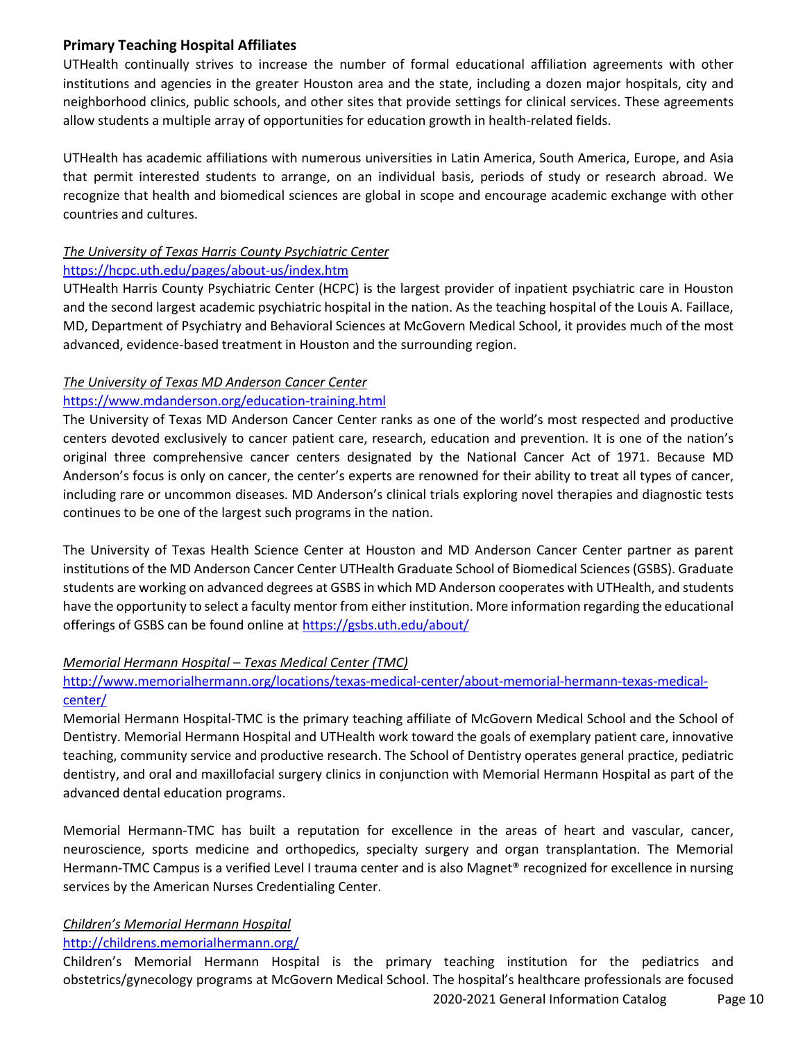## **Primary Teaching Hospital Affiliates**

UTHealth continually strives to increase the number of formal educational affiliation agreements with other institutions and agencies in the greater Houston area and the state, including a dozen major hospitals, city and neighborhood clinics, public schools, and other sites that provide settings for clinical services. These agreements allow students a multiple array of opportunities for education growth in health-related fields.

UTHealth has academic affiliations with numerous universities in Latin America, South America, Europe, and Asia that permit interested students to arrange, on an individual basis, periods of study or research abroad. We recognize that health and biomedical sciences are global in scope and encourage academic exchange with other countries and cultures.

# *The University of Texas Harris County Psychiatric Center*

## <https://hcpc.uth.edu/pages/about-us/index.htm>

UTHealth Harris County Psychiatric Center (HCPC) is the largest provider of inpatient psychiatric care in Houston and the second largest academic psychiatric hospital in the nation. As the teaching hospital of the Louis A. Faillace, MD, Department of Psychiatry and Behavioral Sciences at McGovern Medical School, it provides much of the most advanced, evidence-based treatment in Houston and the surrounding region.

## *The University of Texas MD Anderson Cancer Center*

## <https://www.mdanderson.org/education-training.html>

The University of Texas MD Anderson Cancer Center ranks as one of the world's most respected and productive centers devoted exclusively to cancer patient care, research, education and prevention. It is one of the nation's original three comprehensive cancer centers designated by the National Cancer Act of 1971. Because MD Anderson's focus is only on cancer, the center's experts are renowned for their ability to treat all types of cancer, including rare or uncommon diseases. MD Anderson's clinical trials exploring novel therapies and diagnostic tests continues to be one of the largest such programs in the nation.

The University of Texas Health Science Center at Houston and MD Anderson Cancer Center partner as parent institutions of the MD Anderson Cancer Center UTHealth Graduate School of Biomedical Sciences (GSBS). Graduate students are working on advanced degrees at GSBS in which MD Anderson cooperates with UTHealth, and students have the opportunity to select a faculty mentor from either institution. More information regarding the educational offerings of GSBS can be found online at<https://gsbs.uth.edu/about/>

## *Memorial Hermann Hospital – Texas Medical Center (TMC)*

## [http://www.memorialhermann.org/locations/texas-medical-center/about-memorial-hermann-texas-medical](http://www.memorialhermann.org/locations/texas-medical-center/about-memorial-hermann-texas-medical-center/)[center/](http://www.memorialhermann.org/locations/texas-medical-center/about-memorial-hermann-texas-medical-center/)

Memorial Hermann Hospital-TMC is the primary teaching affiliate of McGovern Medical School and the School of Dentistry. Memorial Hermann Hospital and UTHealth work toward the goals of exemplary patient care, innovative teaching, community service and productive research. The School of Dentistry operates general practice, pediatric dentistry, and oral and maxillofacial surgery clinics in conjunction with Memorial Hermann Hospital as part of the advanced dental education programs.

Memorial Hermann-TMC has built a reputation for excellence in the areas of heart and vascular, cancer, neuroscience, sports medicine and orthopedics, specialty surgery and organ transplantation. The Memorial Hermann-TMC Campus is a verified Level I trauma center and is also Magnet® recognized for excellence in nursing services by the American Nurses Credentialing Center.

## *Children's Memorial Hermann Hospital*

#### <http://childrens.memorialhermann.org/>

Children's Memorial Hermann Hospital is the primary teaching institution for the pediatrics and obstetrics/gynecology programs at McGovern Medical School. The hospital's healthcare professionals are focused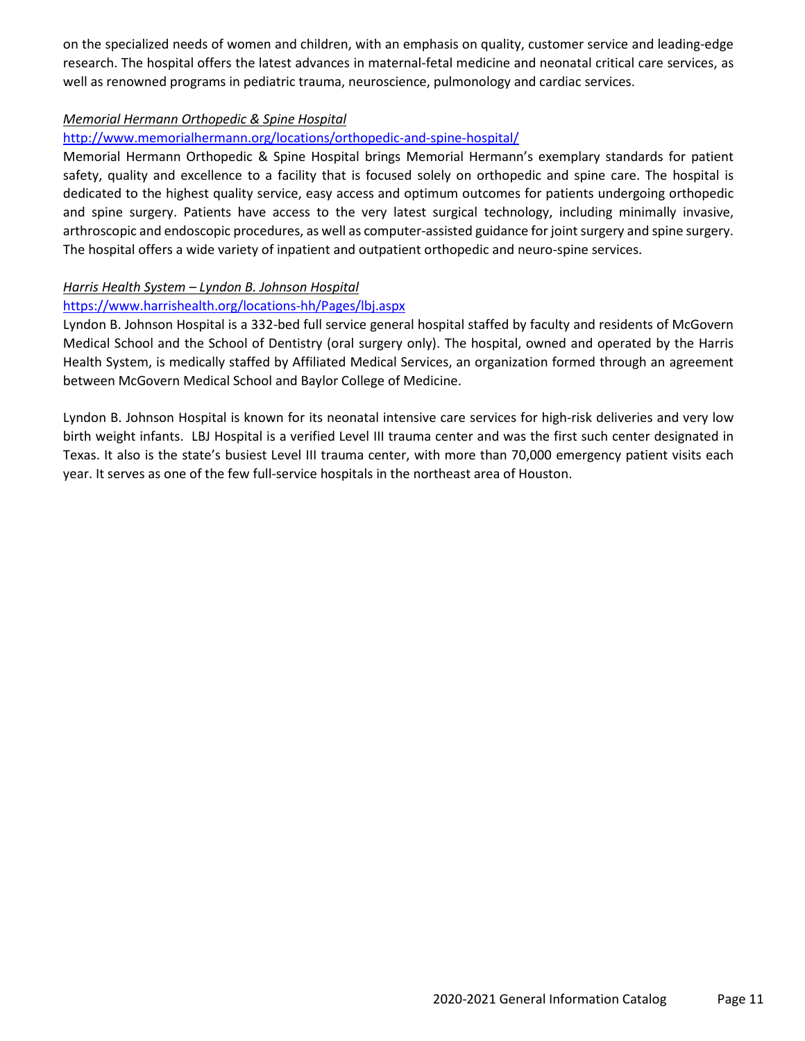on the specialized needs of women and children, with an emphasis on quality, customer service and leading-edge research. The hospital offers the latest advances in maternal-fetal medicine and neonatal critical care services, as well as renowned programs in pediatric trauma, neuroscience, pulmonology and cardiac services.

## *Memorial Hermann Orthopedic & Spine Hospital*

## <http://www.memorialhermann.org/locations/orthopedic-and-spine-hospital/>

Memorial Hermann Orthopedic & Spine Hospital brings Memorial Hermann's exemplary standards for patient safety, quality and excellence to a facility that is focused solely on orthopedic and spine care. The hospital is dedicated to the highest quality service, easy access and optimum outcomes for patients undergoing orthopedic and spine surgery. Patients have access to the very latest surgical technology, including minimally invasive, arthroscopic and endoscopic procedures, as well as computer-assisted guidance for joint surgery and spine surgery. The hospital offers a wide variety of inpatient and outpatient orthopedic and neuro-spine services.

## *Harris Health System – Lyndon B. Johnson Hospital*

## <https://www.harrishealth.org/locations-hh/Pages/lbj.aspx>

Lyndon B. Johnson Hospital is a 332-bed full service general hospital staffed by faculty and residents of McGovern Medical School and the School of Dentistry (oral surgery only). The hospital, owned and operated by the Harris Health System, is medically staffed by Affiliated Medical Services, an organization formed through an agreement between McGovern Medical School and Baylor College of Medicine.

Lyndon B. Johnson Hospital is known for its neonatal intensive care services for high-risk deliveries and very low birth weight infants. LBJ Hospital is a verified Level III trauma center and was the first such center designated in Texas. It also is the state's busiest Level III trauma center, with more than 70,000 emergency patient visits each year. It serves as one of the few full-service hospitals in the northeast area of Houston.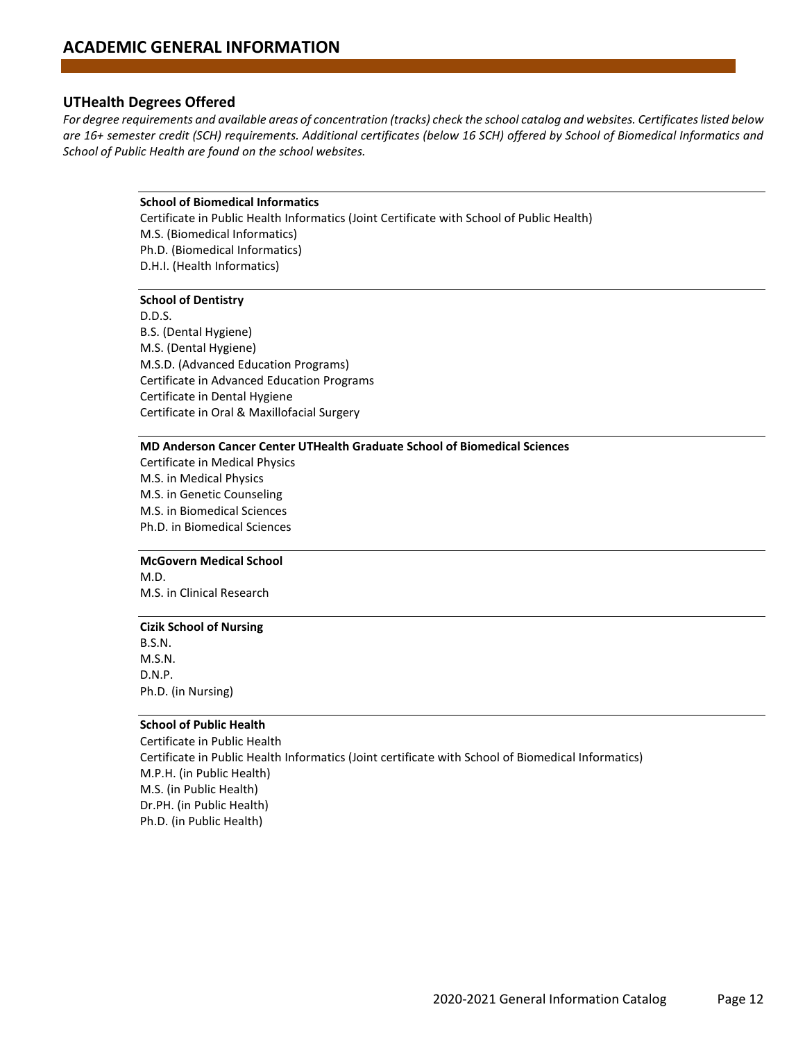#### **UTHealth Degrees Offered**

*For degree requirements and available areas of concentration (tracks) check the school catalog and websites. Certificates listed below are 16+ semester credit (SCH) requirements. Additional certificates (below 16 SCH) offered by School of Biomedical Informatics and School of Public Health are found on the school websites.*

#### **School of Biomedical Informatics**

Certificate in Public Health Informatics (Joint Certificate with School of Public Health) M.S. (Biomedical Informatics) Ph.D. (Biomedical Informatics) D.H.I. (Health Informatics)

#### **School of Dentistry**

D.D.S. B.S. (Dental Hygiene) M.S. (Dental Hygiene) M.S.D. (Advanced Education Programs) Certificate in Advanced Education Programs Certificate in Dental Hygiene Certificate in Oral & Maxillofacial Surgery

#### **MD Anderson Cancer Center UTHealth Graduate School of Biomedical Sciences**

Certificate in Medical Physics M.S. in Medical Physics M.S. in Genetic Counseling M.S. in Biomedical Sciences Ph.D. in Biomedical Sciences

#### **McGovern Medical School**

M.D. M.S. in Clinical Research

#### **Cizik School of Nursing**

B.S.N. M.S.N. D.N.P. Ph.D. (in Nursing)

#### **School of Public Health**

Certificate in Public Health Certificate in Public Health Informatics (Joint certificate with School of Biomedical Informatics) M.P.H. (in Public Health) M.S. (in Public Health) Dr.PH. (in Public Health) Ph.D. (in Public Health)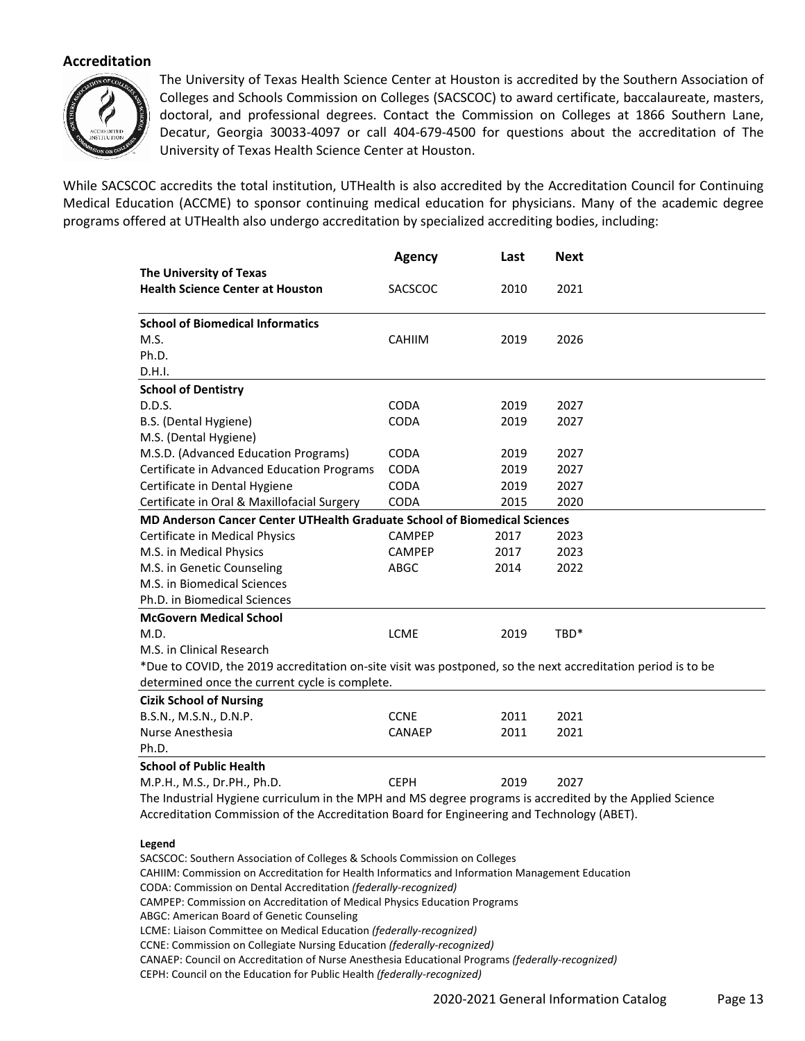## **Accreditation**



The University of Texas Health Science Center at Houston is accredited by the Southern Association of Colleges and Schools Commission on Colleges (SACSCOC) to award certificate, baccalaureate, masters, doctoral, and professional degrees. Contact the Commission on Colleges at 1866 Southern Lane, Decatur, Georgia 30033-4097 or call 404-679-4500 for questions about the accreditation of The University of Texas Health Science Center at Houston.

While SACSCOC accredits the total institution, UTHealth is also accredited by the Accreditation Council for Continuing Medical Education (ACCME) to sponsor continuing medical education for physicians. Many of the academic degree programs offered at UTHealth also undergo accreditation by specialized accrediting bodies, including:

|                                                                                                              | <b>Agency</b> | Last | <b>Next</b> |  |  |
|--------------------------------------------------------------------------------------------------------------|---------------|------|-------------|--|--|
| The University of Texas                                                                                      |               |      |             |  |  |
| <b>Health Science Center at Houston</b>                                                                      | SACSCOC       | 2010 | 2021        |  |  |
| <b>School of Biomedical Informatics</b>                                                                      |               |      |             |  |  |
| M.S.                                                                                                         | <b>CAHIIM</b> | 2019 | 2026        |  |  |
| Ph.D.                                                                                                        |               |      |             |  |  |
| D.H.I.                                                                                                       |               |      |             |  |  |
| <b>School of Dentistry</b>                                                                                   |               |      |             |  |  |
| D.D.S.                                                                                                       | <b>CODA</b>   | 2019 | 2027        |  |  |
| B.S. (Dental Hygiene)                                                                                        | <b>CODA</b>   | 2019 | 2027        |  |  |
| M.S. (Dental Hygiene)                                                                                        |               |      |             |  |  |
| M.S.D. (Advanced Education Programs)                                                                         | <b>CODA</b>   | 2019 | 2027        |  |  |
| Certificate in Advanced Education Programs                                                                   | CODA          | 2019 | 2027        |  |  |
| Certificate in Dental Hygiene                                                                                | CODA          | 2019 | 2027        |  |  |
| Certificate in Oral & Maxillofacial Surgery                                                                  | <b>CODA</b>   | 2015 | 2020        |  |  |
| MD Anderson Cancer Center UTHealth Graduate School of Biomedical Sciences                                    |               |      |             |  |  |
| Certificate in Medical Physics                                                                               | <b>CAMPEP</b> | 2017 | 2023        |  |  |
| M.S. in Medical Physics                                                                                      | <b>CAMPEP</b> | 2017 | 2023        |  |  |
| M.S. in Genetic Counseling                                                                                   | ABGC          | 2014 | 2022        |  |  |
| M.S. in Biomedical Sciences                                                                                  |               |      |             |  |  |
| Ph.D. in Biomedical Sciences                                                                                 |               |      |             |  |  |
| <b>McGovern Medical School</b>                                                                               |               |      |             |  |  |
| M.D.                                                                                                         | <b>LCME</b>   | 2019 | TBD*        |  |  |
| M.S. in Clinical Research                                                                                    |               |      |             |  |  |
| *Due to COVID, the 2019 accreditation on-site visit was postponed, so the next accreditation period is to be |               |      |             |  |  |
| determined once the current cycle is complete.                                                               |               |      |             |  |  |
| <b>Cizik School of Nursing</b>                                                                               |               |      |             |  |  |
| B.S.N., M.S.N., D.N.P.                                                                                       | <b>CCNE</b>   | 2011 | 2021        |  |  |
| Nurse Anesthesia                                                                                             | <b>CANAEP</b> | 2011 | 2021        |  |  |
| Ph.D.                                                                                                        |               |      |             |  |  |
| <b>School of Public Health</b>                                                                               |               |      |             |  |  |
| M.P.H., M.S., Dr.PH., Ph.D.                                                                                  | <b>CEPH</b>   | 2019 | 2027        |  |  |
| The Industrial Hygiene curriculum in the MPH and MS degree programs is accredited by the Applied Science     |               |      |             |  |  |
| Accreditation Commission of the Accreditation Board for Engineering and Technology (ABET).                   |               |      |             |  |  |

#### **Legend**

SACSCOC: Southern Association of Colleges & Schools Commission on Colleges CAHIIM: Commission on Accreditation for Health Informatics and Information Management Education CODA: Commission on Dental Accreditation *(federally-recognized)* CAMPEP: Commission on Accreditation of Medical Physics Education Programs ABGC: American Board of Genetic Counseling LCME: Liaison Committee on Medical Education *(federally-recognized)* CCNE: Commission on Collegiate Nursing Education *(federally-recognized)* CANAEP: Council on Accreditation of Nurse Anesthesia Educational Programs *(federally-recognized)* CEPH: Council on the Education for Public Health *(federally-recognized)*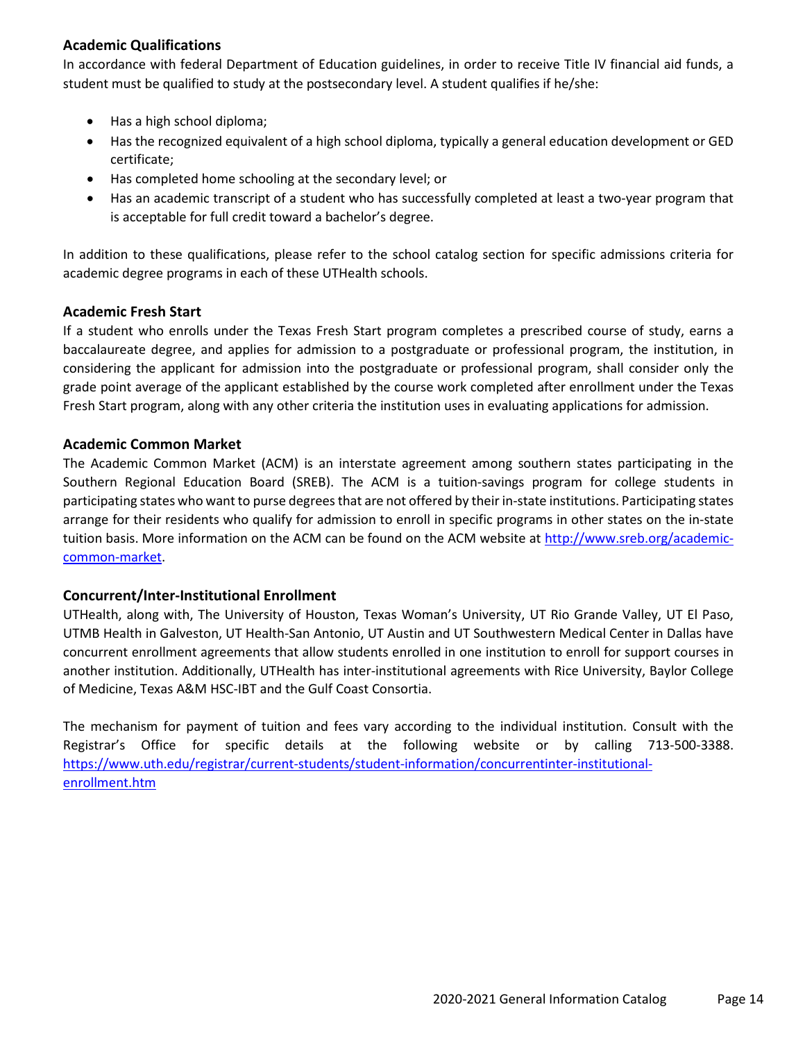## **Academic Qualifications**

In accordance with federal Department of Education guidelines, in order to receive Title IV financial aid funds, a student must be qualified to study at the postsecondary level. A student qualifies if he/she:

- Has a high school diploma;
- Has the recognized equivalent of a high school diploma, typically a general education development or GED certificate;
- Has completed home schooling at the secondary level; or
- Has an academic transcript of a student who has successfully completed at least a two-year program that is acceptable for full credit toward a bachelor's degree.

In addition to these qualifications, please refer to the school catalog section for specific admissions criteria for academic degree programs in each of these UTHealth schools.

## **Academic Fresh Start**

If a student who enrolls under the Texas Fresh Start program completes a prescribed course of study, earns a baccalaureate degree, and applies for admission to a postgraduate or professional program, the institution, in considering the applicant for admission into the postgraduate or professional program, shall consider only the grade point average of the applicant established by the course work completed after enrollment under the Texas Fresh Start program, along with any other criteria the institution uses in evaluating applications for admission.

## **Academic Common Market**

The Academic Common Market (ACM) is an interstate agreement among southern states participating in the Southern Regional Education Board (SREB). The ACM is a tuition-savings program for college students in participating states who want to purse degrees that are not offered by their in-state institutions. Participating states arrange for their residents who qualify for admission to enroll in specific programs in other states on the in-state tuition basis. More information on the ACM can be found on the ACM website at [http://www.sreb.org/academic](http://www.sreb.org/academic-common-market)[common-market.](http://www.sreb.org/academic-common-market)

## **Concurrent/Inter-Institutional Enrollment**

UTHealth, along with, The University of Houston, Texas Woman's University, UT Rio Grande Valley, UT El Paso, UTMB Health in Galveston, UT Health-San Antonio, UT Austin and UT Southwestern Medical Center in Dallas have concurrent enrollment agreements that allow students enrolled in one institution to enroll for support courses in another institution. Additionally, UTHealth has inter-institutional agreements with Rice University, Baylor College of Medicine, Texas A&M HSC-IBT and the Gulf Coast Consortia.

The mechanism for payment of tuition and fees vary according to the individual institution. Consult with the Registrar's Office for specific details at the following website or by calling 713-500-3388. [https://www.uth.edu/registrar/current-students/student-information/concurrentinter-institutional](https://www.uth.edu/registrar/current-students/student-information/concurrentinter-institutional-enrollment.htm)[enrollment.htm](https://www.uth.edu/registrar/current-students/student-information/concurrentinter-institutional-enrollment.htm)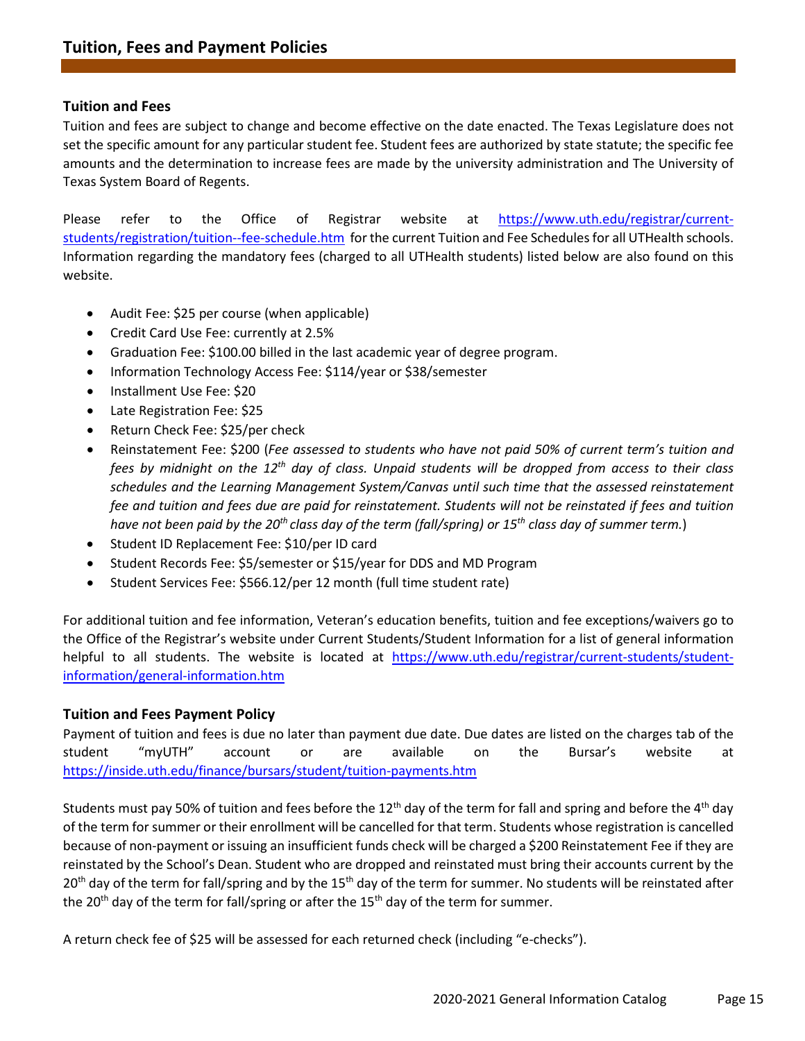#### **Tuition and Fees**

Tuition and fees are subject to change and become effective on the date enacted. The Texas Legislature does not set the specific amount for any particular student fee. Student fees are authorized by state statute; the specific fee amounts and the determination to increase fees are made by the university administration and The University of Texas System Board of Regents.

Please refer to the Office of Registrar website at [https://www.uth.edu/registrar/current](https://www.uth.edu/registrar/current-students/registration/tuition--fee-schedule.htm)[students/registration/tuition--fee-schedule.htm](https://www.uth.edu/registrar/current-students/registration/tuition--fee-schedule.htm) for the current Tuition and Fee Schedules for all UTHealth schools. Information regarding the mandatory fees (charged to all UTHealth students) listed below are also found on this website.

- Audit Fee: \$25 per course (when applicable)
- Credit Card Use Fee: currently at 2.5%
- Graduation Fee: \$100.00 billed in the last academic year of degree program.
- Information Technology Access Fee: \$114/year or \$38/semester
- Installment Use Fee: \$20
- Late Registration Fee: \$25
- Return Check Fee: \$25/per check
- Reinstatement Fee: \$200 (*Fee assessed to students who have not paid 50% of current term's tuition and fees by midnight on the 12th day of class. Unpaid students will be dropped from access to their class schedules and the Learning Management System/Canvas until such time that the assessed reinstatement fee and tuition and fees due are paid for reinstatement. Students will not be reinstated if fees and tuition have not been paid by the 20th class day of the term (fall/spring) or 15th class day of summer term.*)
- Student ID Replacement Fee: \$10/per ID card
- Student Records Fee: \$5/semester or \$15/year for DDS and MD Program
- Student Services Fee: \$566.12/per 12 month (full time student rate)

For additional tuition and fee information, Veteran's education benefits, tuition and fee exceptions/waivers go to the Office of the Registrar's website under Current Students/Student Information for a list of general information helpful to all students. The website is located at [https://www.uth.edu/registrar/current-students/student](https://www.uth.edu/registrar/current-students/student-information/general-information.htm)[information/general-information.htm](https://www.uth.edu/registrar/current-students/student-information/general-information.htm)

#### **Tuition and Fees Payment Policy**

Payment of tuition and fees is due no later than payment due date. Due dates are listed on the charges tab of the student "myUTH" account or are available on the Bursar's website at <https://inside.uth.edu/finance/bursars/student/tuition-payments.htm>

Students must pay 50% of tuition and fees before the 12<sup>th</sup> day of the term for fall and spring and before the 4<sup>th</sup> day of the term for summer or their enrollment will be cancelled for that term. Students whose registration is cancelled because of non-payment or issuing an insufficient funds check will be charged a \$200 Reinstatement Fee if they are reinstated by the School's Dean. Student who are dropped and reinstated must bring their accounts current by the 20<sup>th</sup> day of the term for fall/spring and by the 15<sup>th</sup> day of the term for summer. No students will be reinstated after the 20<sup>th</sup> day of the term for fall/spring or after the 15<sup>th</sup> day of the term for summer.

A return check fee of \$25 will be assessed for each returned check (including "e-checks").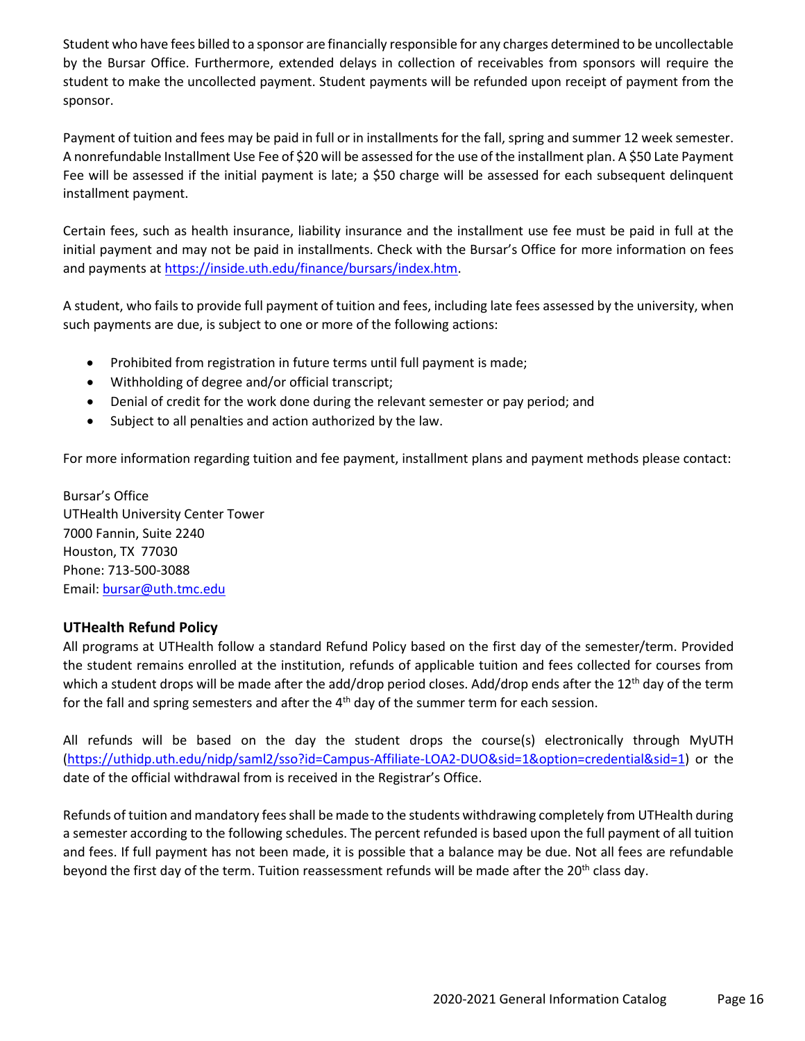Student who have fees billed to a sponsor are financially responsible for any charges determined to be uncollectable by the Bursar Office. Furthermore, extended delays in collection of receivables from sponsors will require the student to make the uncollected payment. Student payments will be refunded upon receipt of payment from the sponsor.

Payment of tuition and fees may be paid in full or in installments for the fall, spring and summer 12 week semester. A nonrefundable Installment Use Fee of \$20 will be assessed for the use of the installment plan. A \$50 Late Payment Fee will be assessed if the initial payment is late; a \$50 charge will be assessed for each subsequent delinquent installment payment.

Certain fees, such as health insurance, liability insurance and the installment use fee must be paid in full at the initial payment and may not be paid in installments. Check with the Bursar's Office for more information on fees and payments at [https://inside.uth.edu/finance/bursars/index.htm.](https://inside.uth.edu/finance/bursars/index.htm)

A student, who fails to provide full payment of tuition and fees, including late fees assessed by the university, when such payments are due, is subject to one or more of the following actions:

- Prohibited from registration in future terms until full payment is made;
- Withholding of degree and/or official transcript;
- Denial of credit for the work done during the relevant semester or pay period; and
- Subject to all penalties and action authorized by the law.

For more information regarding tuition and fee payment, installment plans and payment methods please contact:

Bursar's Office UTHealth University Center Tower 7000 Fannin, Suite 2240 Houston, TX 77030 Phone: 713-500-3088 Email: [bursar@uth.tmc.edu](mailto:bursar@uth.tmc.edu)

## **UTHealth Refund Policy**

All programs at UTHealth follow a standard Refund Policy based on the first day of the semester/term. Provided the student remains enrolled at the institution, refunds of applicable tuition and fees collected for courses from which a student drops will be made after the add/drop period closes. Add/drop ends after the 12<sup>th</sup> day of the term for the fall and spring semesters and after the  $4<sup>th</sup>$  day of the summer term for each session.

All refunds will be based on the day the student drops the course(s) electronically through MyUTH [\(https://uthidp.uth.edu/nidp/saml2/sso?id=Campus-Affiliate-LOA2-DUO&sid=1&option=credential&sid=1\)](https://uthidp.uth.edu/nidp/saml2/sso?id=Campus-Affiliate-LOA2-DUO&sid=1&option=credential&sid=1) or the date of the official withdrawal from is received in the Registrar's Office.

Refunds of tuition and mandatory fees shall be made to the students withdrawing completely from UTHealth during a semester according to the following schedules. The percent refunded is based upon the full payment of all tuition and fees. If full payment has not been made, it is possible that a balance may be due. Not all fees are refundable beyond the first day of the term. Tuition reassessment refunds will be made after the 20<sup>th</sup> class day.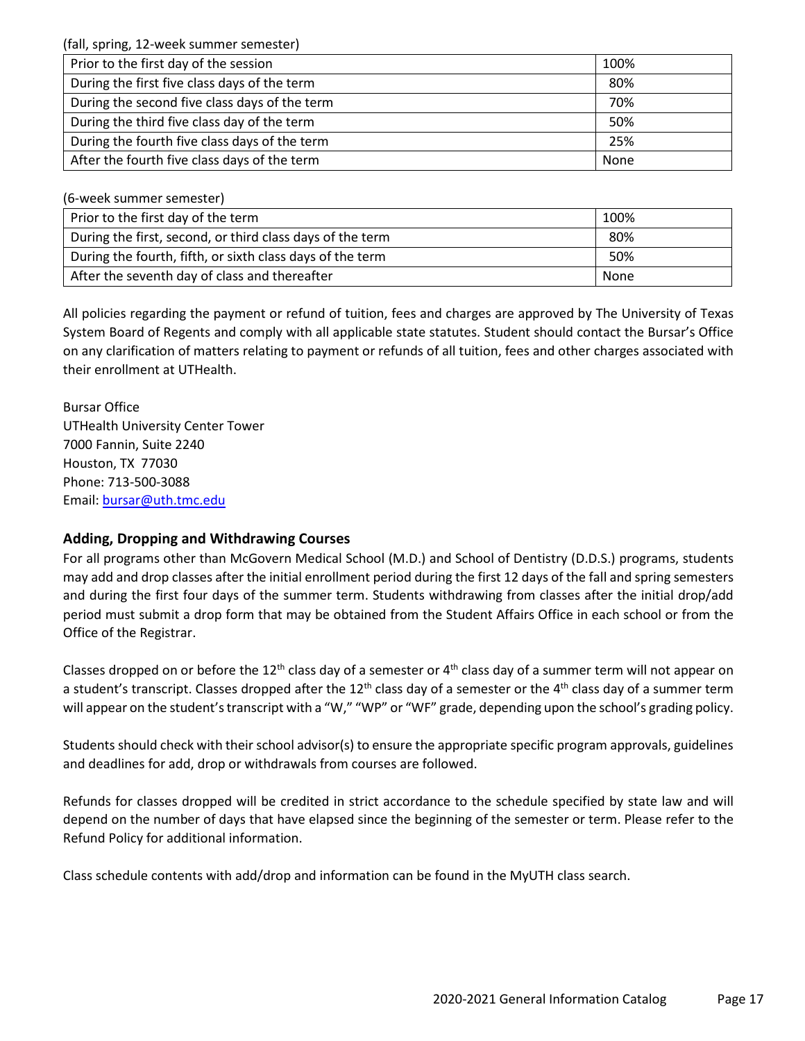(fall, spring, 12-week summer semester)

| Prior to the first day of the session         | 100% |
|-----------------------------------------------|------|
| During the first five class days of the term  | 80%  |
| During the second five class days of the term | 70%  |
| During the third five class day of the term   | 50%  |
| During the fourth five class days of the term | 25%  |
| After the fourth five class days of the term  | None |

(6-week summer semester)

| Prior to the first day of the term                        | 100% |
|-----------------------------------------------------------|------|
| During the first, second, or third class days of the term | 80%  |
| During the fourth, fifth, or sixth class days of the term | 50%  |
| After the seventh day of class and thereafter             | None |

All policies regarding the payment or refund of tuition, fees and charges are approved by The University of Texas System Board of Regents and comply with all applicable state statutes. Student should contact the Bursar's Office on any clarification of matters relating to payment or refunds of all tuition, fees and other charges associated with their enrollment at UTHealth.

Bursar Office UTHealth University Center Tower 7000 Fannin, Suite 2240 Houston, TX 77030 Phone: 713-500-3088 Email: [bursar@uth.tmc.edu](mailto:bursar@uth.tmc.edu)

## **Adding, Dropping and Withdrawing Courses**

For all programs other than McGovern Medical School (M.D.) and School of Dentistry (D.D.S.) programs, students may add and drop classes after the initial enrollment period during the first 12 days of the fall and spring semesters and during the first four days of the summer term. Students withdrawing from classes after the initial drop/add period must submit a drop form that may be obtained from the Student Affairs Office in each school or from the Office of the Registrar.

Classes dropped on or before the 12<sup>th</sup> class day of a semester or  $4<sup>th</sup>$  class day of a summer term will not appear on a student's transcript. Classes dropped after the 12<sup>th</sup> class day of a semester or the 4<sup>th</sup> class day of a summer term will appear on the student's transcript with a "W," "WP" or "WF" grade, depending upon the school's grading policy.

Students should check with their school advisor(s) to ensure the appropriate specific program approvals, guidelines and deadlines for add, drop or withdrawals from courses are followed.

Refunds for classes dropped will be credited in strict accordance to the schedule specified by state law and will depend on the number of days that have elapsed since the beginning of the semester or term. Please refer to the Refund Policy for additional information.

Class schedule contents with add/drop and information can be found in the MyUTH class search.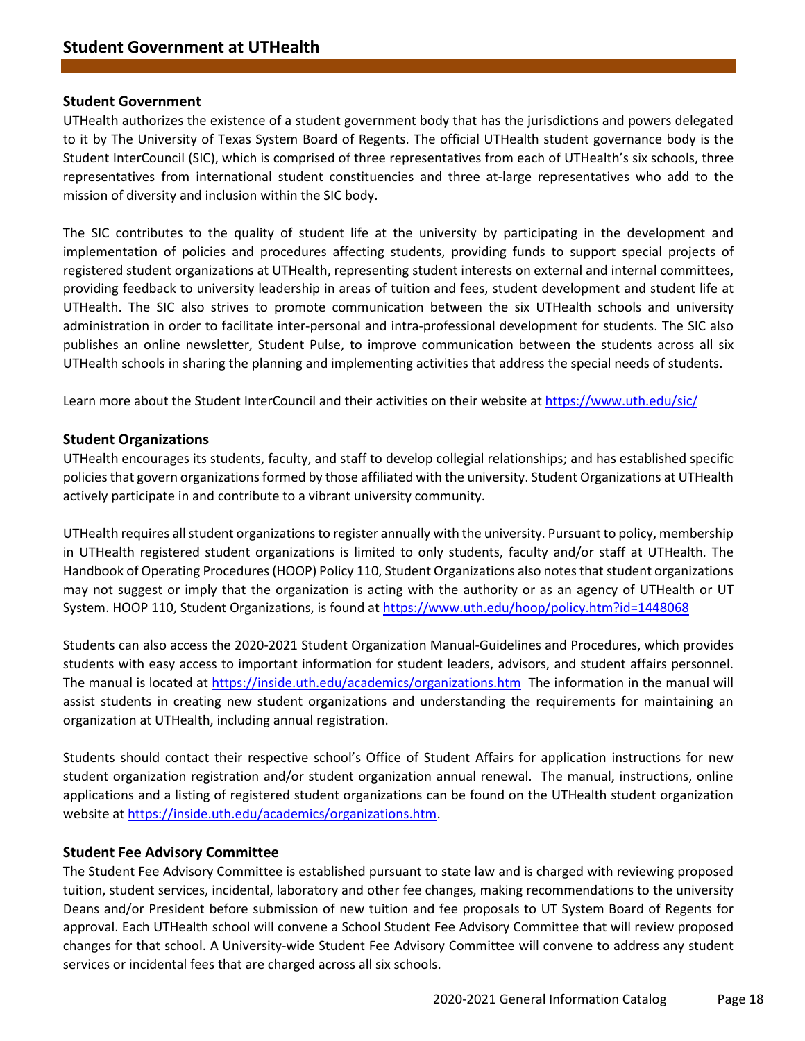#### **Student Government**

UTHealth authorizes the existence of a student government body that has the jurisdictions and powers delegated to it by The University of Texas System Board of Regents. The official UTHealth student governance body is the Student InterCouncil (SIC), which is comprised of three representatives from each of UTHealth's six schools, three representatives from international student constituencies and three at-large representatives who add to the mission of diversity and inclusion within the SIC body.

The SIC contributes to the quality of student life at the university by participating in the development and implementation of policies and procedures affecting students, providing funds to support special projects of registered student organizations at UTHealth, representing student interests on external and internal committees, providing feedback to university leadership in areas of tuition and fees, student development and student life at UTHealth. The SIC also strives to promote communication between the six UTHealth schools and university administration in order to facilitate inter-personal and intra-professional development for students. The SIC also publishes an online newsletter, Student Pulse, to improve communication between the students across all six UTHealth schools in sharing the planning and implementing activities that address the special needs of students.

Learn more about the Student InterCouncil and their activities on their website at<https://www.uth.edu/sic/>

#### **Student Organizations**

UTHealth encourages its students, faculty, and staff to develop collegial relationships; and has established specific policies that govern organizations formed by those affiliated with the university. Student Organizations at UTHealth actively participate in and contribute to a vibrant university community.

UTHealth requires all student organizations to register annually with the university. Pursuant to policy, membership in UTHealth registered student organizations is limited to only students, faculty and/or staff at UTHealth. The Handbook of Operating Procedures (HOOP) Policy 110, Student Organizations also notes that student organizations may not suggest or imply that the organization is acting with the authority or as an agency of UTHealth or UT System. HOOP 110, Student Organizations, is found at<https://www.uth.edu/hoop/policy.htm?id=1448068>

Students can also access the 2020-2021 Student Organization Manual-Guidelines and Procedures, which provides students with easy access to important information for student leaders, advisors, and student affairs personnel. The manual is located at<https://inside.uth.edu/academics/organizations.htm>The information in the manual will assist students in creating new student organizations and understanding the requirements for maintaining an organization at UTHealth, including annual registration.

Students should contact their respective school's Office of Student Affairs for application instructions for new student organization registration and/or student organization annual renewal. The manual, instructions, online applications and a listing of registered student organizations can be found on the UTHealth student organization website at [https://inside.uth.edu/academics/organizations.htm.](https://inside.uth.edu/academics/organizations.htm)

#### **Student Fee Advisory Committee**

The Student Fee Advisory Committee is established pursuant to state law and is charged with reviewing proposed tuition, student services, incidental, laboratory and other fee changes, making recommendations to the university Deans and/or President before submission of new tuition and fee proposals to UT System Board of Regents for approval. Each UTHealth school will convene a School Student Fee Advisory Committee that will review proposed changes for that school. A University-wide Student Fee Advisory Committee will convene to address any student services or incidental fees that are charged across all six schools.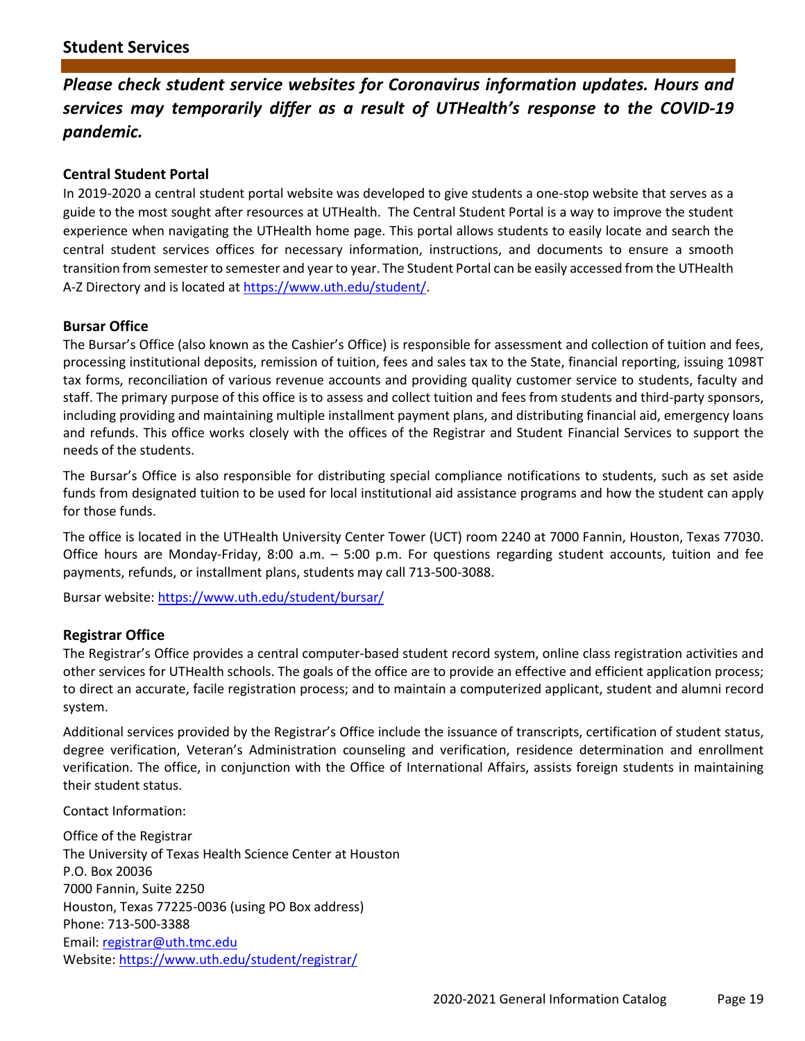*Please check student service websites for Coronavirus information updates. Hours and services may temporarily differ as a result of UTHealth's response to the COVID-19 pandemic.*

## **Central Student Portal**

In 2019-2020 a central student portal website was developed to give students a one-stop website that serves as a guide to the most sought after resources at UTHealth. The Central Student Portal is a way to improve the student experience when navigating the UTHealth home page. This portal allows students to easily locate and search the central student services offices for necessary information, instructions, and documents to ensure a smooth transition from semester to semester and year to year. The Student Portal can be easily accessed from the UTHealth A-Z Directory and is located at [https://www.uth.edu/student/.](https://www.uth.edu/student/)

#### **Bursar Office**

The Bursar's Office (also known as the Cashier's Office) is responsible for assessment and collection of tuition and fees, processing institutional deposits, remission of tuition, fees and sales tax to the State, financial reporting, issuing 1098T tax forms, reconciliation of various revenue accounts and providing quality customer service to students, faculty and staff. The primary purpose of this office is to assess and collect tuition and fees from students and third-party sponsors, including providing and maintaining multiple installment payment plans, and distributing financial aid, emergency loans and refunds. This office works closely with the offices of the Registrar and Student Financial Services to support the needs of the students.

The Bursar's Office is also responsible for distributing special compliance notifications to students, such as set aside funds from designated tuition to be used for local institutional aid assistance programs and how the student can apply for those funds.

The office is located in the UTHealth University Center Tower (UCT) room 2240 at 7000 Fannin, Houston, Texas 77030. Office hours are Monday-Friday, 8:00 a.m. – 5:00 p.m. For questions regarding student accounts, tuition and fee payments, refunds, or installment plans, students may call 713-500-3088.

Bursar website:<https://www.uth.edu/student/bursar/>

#### **Registrar Office**

The Registrar's Office provides a central computer-based student record system, online class registration activities and other services for UTHealth schools. The goals of the office are to provide an effective and efficient application process; to direct an accurate, facile registration process; and to maintain a computerized applicant, student and alumni record system.

Additional services provided by the Registrar's Office include the issuance of transcripts, certification of student status, degree verification, Veteran's Administration counseling and verification, residence determination and enrollment verification. The office, in conjunction with the Office of International Affairs, assists foreign students in maintaining their student status.

Contact Information:

Office of the Registrar The University of Texas Health Science Center at Houston P.O. Box 20036 7000 Fannin, Suite 2250 Houston, Texas 77225-0036 (using PO Box address) Phone: 713-500-3388 Email: [registrar@uth.tmc.edu](mailto:registrar@uth.tmc.edu) Website[: https://www.uth.edu/student/registrar/](https://www.uth.edu/student/registrar/)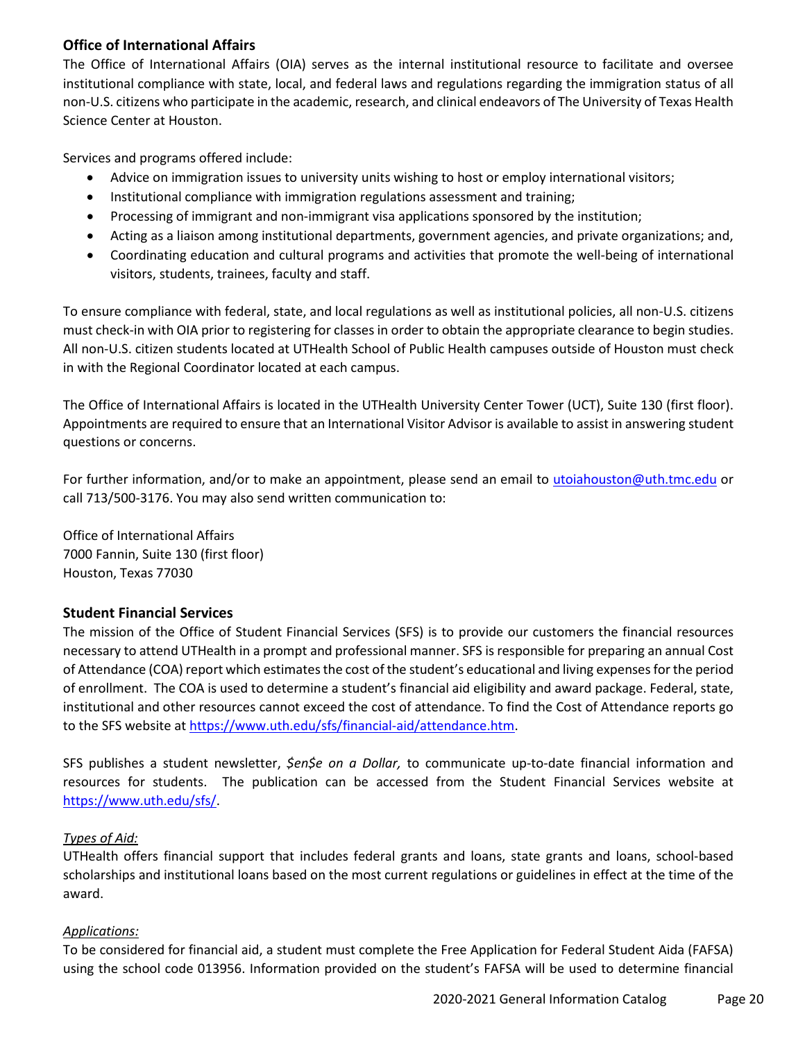## **Office of International Affairs**

The Office of International Affairs (OIA) serves as the internal institutional resource to facilitate and oversee institutional compliance with state, local, and federal laws and regulations regarding the immigration status of all non-U.S. citizens who participate in the academic, research, and clinical endeavors of The University of Texas Health Science Center at Houston.

Services and programs offered include:

- Advice on immigration issues to university units wishing to host or employ international visitors;
- Institutional compliance with immigration regulations assessment and training;
- Processing of immigrant and non-immigrant visa applications sponsored by the institution;
- Acting as a liaison among institutional departments, government agencies, and private organizations; and,
- Coordinating education and cultural programs and activities that promote the well-being of international visitors, students, trainees, faculty and staff.

To ensure compliance with federal, state, and local regulations as well as institutional policies, all non-U.S. citizens must check-in with OIA prior to registering for classes in order to obtain the appropriate clearance to begin studies. All non-U.S. citizen students located at UTHealth School of Public Health campuses outside of Houston must check in with the Regional Coordinator located at each campus.

The Office of International Affairs is located in the UTHealth University Center Tower (UCT), Suite 130 (first floor). Appointments are required to ensure that an International Visitor Advisor is available to assist in answering student questions or concerns.

For further information, and/or to make an appointment, please send an email to [utoiahouston@uth.tmc.edu](mailto:utoiahouston@uth.tmc.edu) or call 713/500-3176. You may also send written communication to:

Office of International Affairs 7000 Fannin, Suite 130 (first floor) Houston, Texas 77030

## **Student Financial Services**

The mission of the Office of Student Financial Services (SFS) is to provide our customers the financial resources necessary to attend UTHealth in a prompt and professional manner. SFS is responsible for preparing an annual Cost of Attendance (COA) report which estimates the cost of the student's educational and living expenses for the period of enrollment. The COA is used to determine a student's financial aid eligibility and award package. Federal, state, institutional and other resources cannot exceed the cost of attendance. To find the Cost of Attendance reports go to the SFS website at [https://www.uth.edu/sfs/financial-aid/attendance.htm.](https://www.uth.edu/sfs/financial-aid/attendance.htm)

SFS publishes a student newsletter, *\$en\$e on a Dollar,* to communicate up-to-date financial information and resources for students. The publication can be accessed from the Student Financial Services website at [https://www.uth.edu/sfs/.](https://www.uth.edu/sfs/)

## *Types of Aid:*

UTHealth offers financial support that includes federal grants and loans, state grants and loans, school-based scholarships and institutional loans based on the most current regulations or guidelines in effect at the time of the award.

## *Applications:*

To be considered for financial aid, a student must complete the Free Application for Federal Student Aida (FAFSA) using the school code 013956. Information provided on the student's FAFSA will be used to determine financial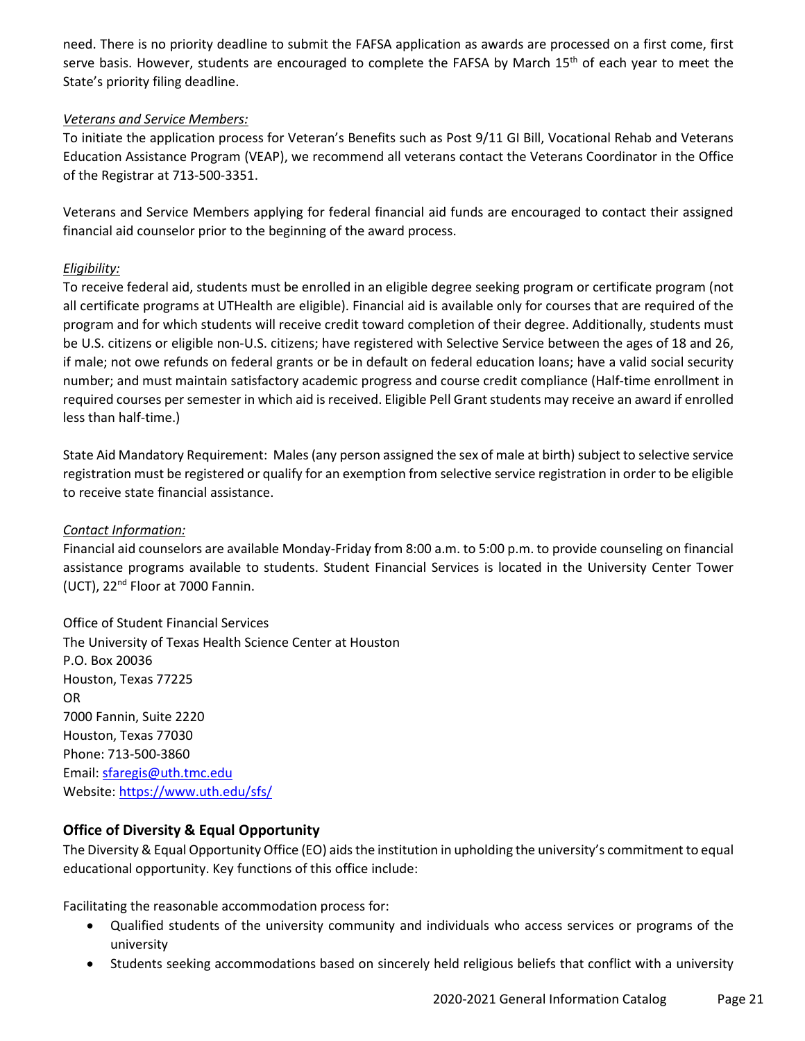need. There is no priority deadline to submit the FAFSA application as awards are processed on a first come, first serve basis. However, students are encouraged to complete the FAFSA by March 15<sup>th</sup> of each year to meet the State's priority filing deadline.

## *Veterans and Service Members:*

To initiate the application process for Veteran's Benefits such as Post 9/11 GI Bill, Vocational Rehab and Veterans Education Assistance Program (VEAP), we recommend all veterans contact the Veterans Coordinator in the Office of the Registrar at 713-500-3351.

Veterans and Service Members applying for federal financial aid funds are encouraged to contact their assigned financial aid counselor prior to the beginning of the award process.

## *Eligibility:*

To receive federal aid, students must be enrolled in an eligible degree seeking program or certificate program (not all certificate programs at UTHealth are eligible). Financial aid is available only for courses that are required of the program and for which students will receive credit toward completion of their degree. Additionally, students must be U.S. citizens or eligible non-U.S. citizens; have registered with Selective Service between the ages of 18 and 26, if male; not owe refunds on federal grants or be in default on federal education loans; have a valid social security number; and must maintain satisfactory academic progress and course credit compliance (Half-time enrollment in required courses per semester in which aid is received. Eligible Pell Grant students may receive an award if enrolled less than half-time.)

State Aid Mandatory Requirement: Males (any person assigned the sex of male at birth) subject to selective service registration must be registered or qualify for an exemption from selective service registration in order to be eligible to receive state financial assistance.

#### *Contact Information:*

Financial aid counselors are available Monday-Friday from 8:00 a.m. to 5:00 p.m. to provide counseling on financial assistance programs available to students. Student Financial Services is located in the University Center Tower (UCT), 22nd Floor at 7000 Fannin.

Office of Student Financial Services The University of Texas Health Science Center at Houston P.O. Box 20036 Houston, Texas 77225 OR 7000 Fannin, Suite 2220 Houston, Texas 77030 Phone: 713-500-3860 Email: [sfaregis@uth.tmc.edu](mailto:sfaregis@uth.tmc.edu) Website[: https://www.uth.edu/sfs/](https://www.uth.edu/sfs/)

## **Office of Diversity & Equal Opportunity**

The Diversity & Equal Opportunity Office (EO) aids the institution in upholding the university's commitment to equal educational opportunity. Key functions of this office include:

Facilitating the reasonable accommodation process for:

- Qualified students of the university community and individuals who access services or programs of the university
- Students seeking accommodations based on sincerely held religious beliefs that conflict with a university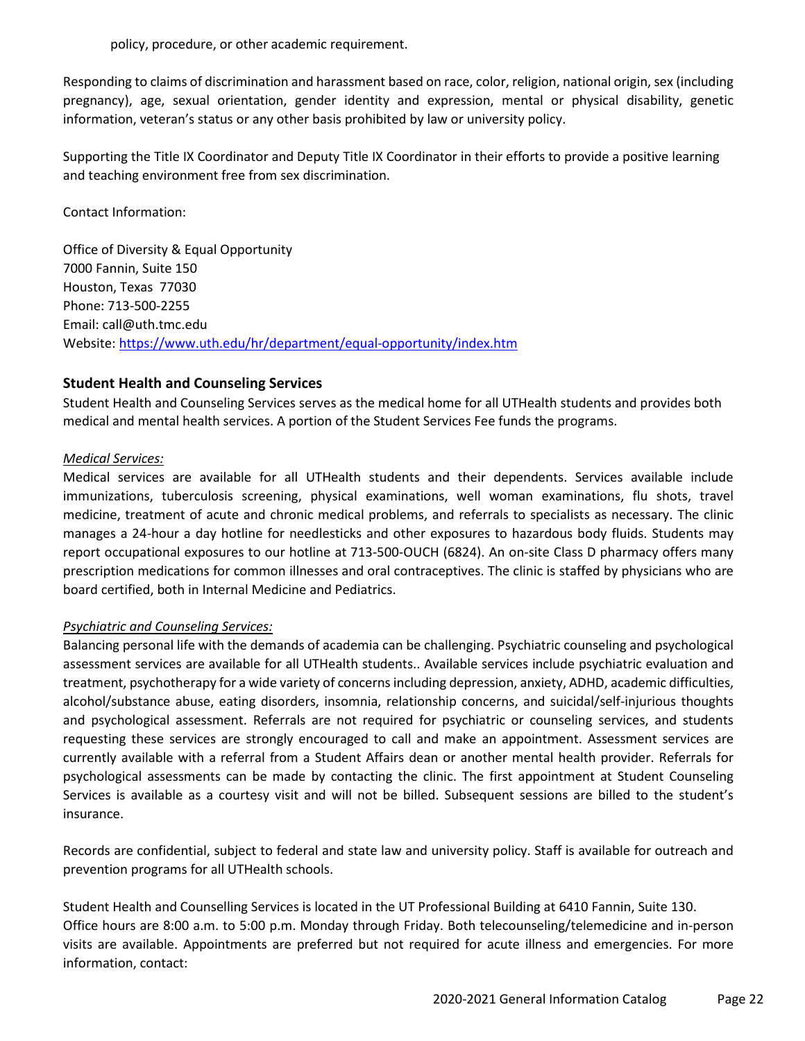policy, procedure, or other academic requirement.

Responding to claims of discrimination and harassment based on race, color, religion, national origin, sex (including pregnancy), age, sexual orientation, gender identity and expression, mental or physical disability, genetic information, veteran's status or any other basis prohibited by law or university policy.

Supporting the Title IX Coordinator and Deputy Title IX Coordinator in their efforts to provide a positive learning and teaching environment free from sex discrimination.

Contact Information:

Office of Diversity & Equal Opportunity 7000 Fannin, Suite 150 Houston, Texas 77030 Phone: 713-500-2255 Email: call@uth.tmc.edu Website[: https://www.uth.edu/hr/department/equal-opportunity/index.htm](https://www.uth.edu/hr/department/equal-opportunity/index.htm)

## **Student Health and Counseling Services**

Student Health and Counseling Services serves as the medical home for all UTHealth students and provides both medical and mental health services. A portion of the Student Services Fee funds the programs.

## *Medical Services:*

Medical services are available for all UTHealth students and their dependents. Services available include immunizations, tuberculosis screening, physical examinations, well woman examinations, flu shots, travel medicine, treatment of acute and chronic medical problems, and referrals to specialists as necessary. The clinic manages a 24-hour a day hotline for needlesticks and other exposures to hazardous body fluids. Students may report occupational exposures to our hotline at 713-500-OUCH (6824). An on-site Class D pharmacy offers many prescription medications for common illnesses and oral contraceptives. The clinic is staffed by physicians who are board certified, both in Internal Medicine and Pediatrics.

#### *Psychiatric and Counseling Services:*

Balancing personal life with the demands of academia can be challenging. Psychiatric counseling and psychological assessment services are available for all UTHealth students.. Available services include psychiatric evaluation and treatment, psychotherapy for a wide variety of concerns including depression, anxiety, ADHD, academic difficulties, alcohol/substance abuse, eating disorders, insomnia, relationship concerns, and suicidal/self-injurious thoughts and psychological assessment. Referrals are not required for psychiatric or counseling services, and students requesting these services are strongly encouraged to call and make an appointment. Assessment services are currently available with a referral from a Student Affairs dean or another mental health provider. Referrals for psychological assessments can be made by contacting the clinic. The first appointment at Student Counseling Services is available as a courtesy visit and will not be billed. Subsequent sessions are billed to the student's insurance.

Records are confidential, subject to federal and state law and university policy. Staff is available for outreach and prevention programs for all UTHealth schools.

Student Health and Counselling Services is located in the UT Professional Building at 6410 Fannin, Suite 130. Office hours are 8:00 a.m. to 5:00 p.m. Monday through Friday. Both telecounseling/telemedicine and in-person visits are available. Appointments are preferred but not required for acute illness and emergencies. For more information, contact: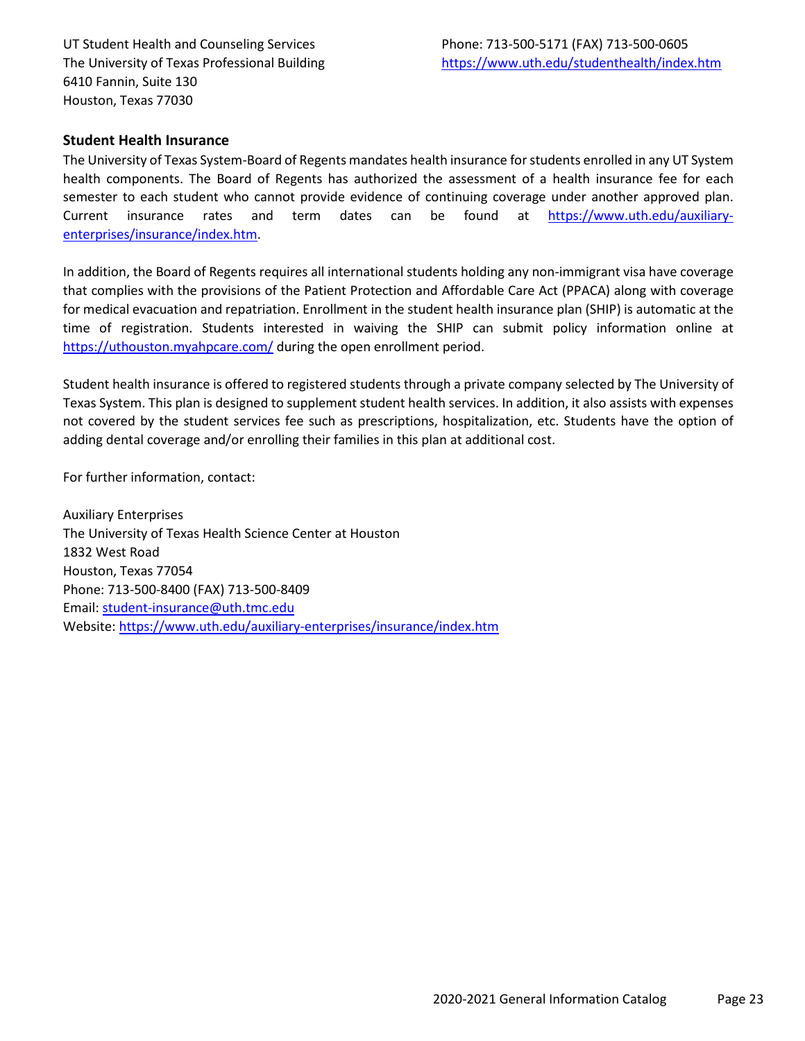UT Student Health and Counseling Services Phone: 713-500-5171 (FAX) 713-500-0605 6410 Fannin, Suite 130 Houston, Texas 77030

#### **Student Health Insurance**

The University of Texas System-Board of Regents mandates health insurance for students enrolled in any UT System health components. The Board of Regents has authorized the assessment of a health insurance fee for each semester to each student who cannot provide evidence of continuing coverage under another approved plan. Current insurance rates and term dates can be found at [https://www.uth.edu/auxiliary](https://www.uth.edu/auxiliary-enterprises/insurance/index.htm)[enterprises/insurance/index.htm.](https://www.uth.edu/auxiliary-enterprises/insurance/index.htm)

In addition, the Board of Regents requires all international students holding any non-immigrant visa have coverage that complies with the provisions of the Patient Protection and Affordable Care Act (PPACA) along with coverage for medical evacuation and repatriation. Enrollment in the student health insurance plan (SHIP) is automatic at the time of registration. Students interested in waiving the SHIP can submit policy information online at <https://uthouston.myahpcare.com/> during the open enrollment period.

Student health insurance is offered to registered students through a private company selected by The University of Texas System. This plan is designed to supplement student health services. In addition, it also assists with expenses not covered by the student services fee such as prescriptions, hospitalization, etc. Students have the option of adding dental coverage and/or enrolling their families in this plan at additional cost.

For further information, contact:

Auxiliary Enterprises The University of Texas Health Science Center at Houston 1832 West Road Houston, Texas 77054 Phone: 713-500-8400 (FAX) 713-500-8409 Email: [student-insurance@uth.tmc.edu](mailto:student-insurance@uth.tmc.edu) Website[: https://www.uth.edu/auxiliary-enterprises/insurance/index.htm](https://www.uth.edu/auxiliary-enterprises/insurance/index.htm)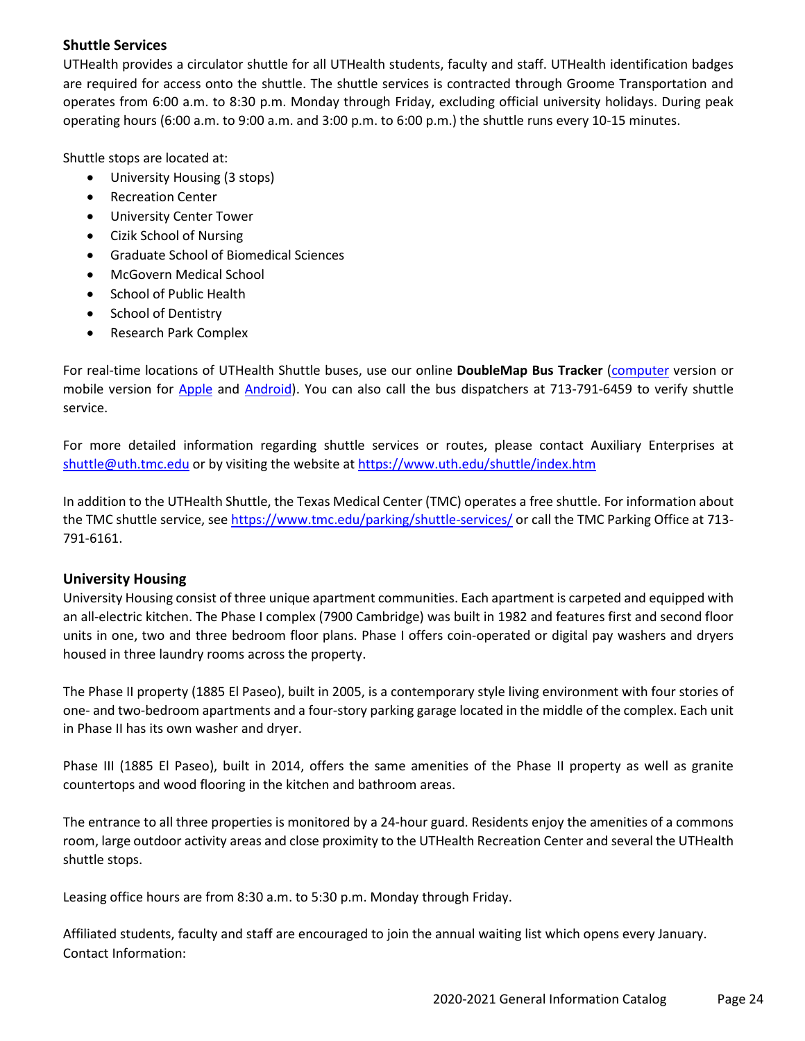## **Shuttle Services**

UTHealth provides a circulator shuttle for all UTHealth students, faculty and staff. UTHealth identification badges are required for access onto the shuttle. The shuttle services is contracted through Groome Transportation and operates from 6:00 a.m. to 8:30 p.m. Monday through Friday, excluding official university holidays. During peak operating hours (6:00 a.m. to 9:00 a.m. and 3:00 p.m. to 6:00 p.m.) the shuttle runs every 10-15 minutes.

Shuttle stops are located at:

- University Housing (3 stops)
- Recreation Center
- University Center Tower
- Cizik School of Nursing
- Graduate School of Biomedical Sciences
- McGovern Medical School
- School of Public Health
- School of Dentistry
- Research Park Complex

For real-time locations of UTHealth Shuttle buses, use our online **DoubleMap Bus Tracker** [\(computer](https://uthealth.doublemap.com/map/) version or mobile version for [Apple](https://itunes.apple.com/app/doublemap-bus-tracker/id493867628) and [Android\)](https://play.google.com/store/apps/details?id=com.doublemap.iu). You can also call the bus dispatchers at 713-791-6459 to verify shuttle service.

For more detailed information regarding shuttle services or routes, please contact Auxiliary Enterprises at [shuttle@uth.tmc.edu](mailto:shuttle@uth.tmc.edu) or by visiting the website at<https://www.uth.edu/shuttle/index.htm>

In addition to the UTHealth Shuttle, the Texas Medical Center (TMC) operates a free shuttle. For information about the TMC shuttle service, see<https://www.tmc.edu/parking/shuttle-services/> or call the TMC Parking Office at 713-791-6161.

## **University Housing**

University Housing consist of three unique apartment communities. Each apartment is carpeted and equipped with an all-electric kitchen. The Phase I complex (7900 Cambridge) was built in 1982 and features first and second floor units in one, two and three bedroom floor plans. Phase I offers coin-operated or digital pay washers and dryers housed in three laundry rooms across the property.

The Phase II property (1885 El Paseo), built in 2005, is a contemporary style living environment with four stories of one- and two-bedroom apartments and a four-story parking garage located in the middle of the complex. Each unit in Phase II has its own washer and dryer.

Phase III (1885 El Paseo), built in 2014, offers the same amenities of the Phase II property as well as granite countertops and wood flooring in the kitchen and bathroom areas.

The entrance to all three properties is monitored by a 24-hour guard. Residents enjoy the amenities of a commons room, large outdoor activity areas and close proximity to the UTHealth Recreation Center and several the UTHealth shuttle stops.

Leasing office hours are from 8:30 a.m. to 5:30 p.m. Monday through Friday.

Affiliated students, faculty and staff are encouraged to join the annual waiting list which opens every January. Contact Information: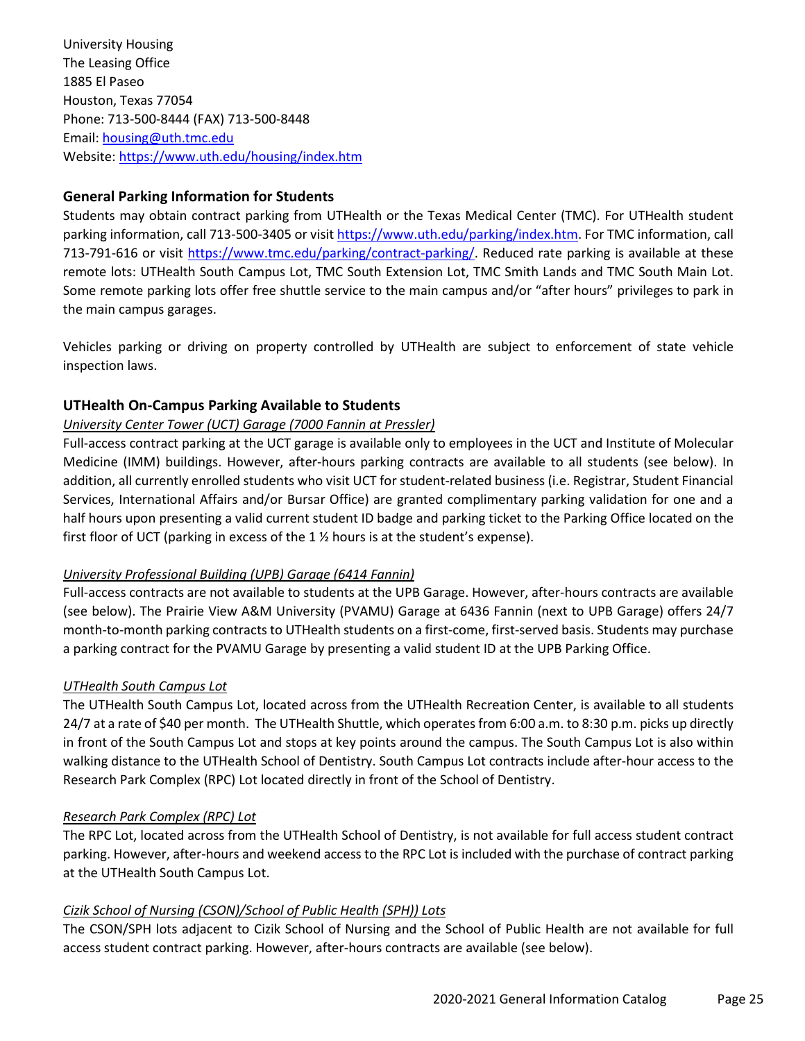University Housing The Leasing Office 1885 El Paseo Houston, Texas 77054 Phone: 713-500-8444 (FAX) 713-500-8448 Email: [housing@uth.tmc.edu](mailto:housing@uth.tmc.edu) Website[: https://www.uth.edu/housing/index.htm](https://www.uth.edu/housing/index.htm)

## **General Parking Information for Students**

Students may obtain contract parking from UTHealth or the Texas Medical Center (TMC). For UTHealth student parking information, call 713-500-3405 or visi[t https://www.uth.edu/parking/index.htm.](https://www.uth.edu/parking/index.htm) For TMC information, call 713-791-616 or visit [https://www.tmc.edu/parking/contract-parking/.](https://www.tmc.edu/parking/contract-parking/) Reduced rate parking is available at these remote lots: UTHealth South Campus Lot, TMC South Extension Lot, TMC Smith Lands and TMC South Main Lot. Some remote parking lots offer free shuttle service to the main campus and/or "after hours" privileges to park in the main campus garages.

Vehicles parking or driving on property controlled by UTHealth are subject to enforcement of state vehicle inspection laws.

## **UTHealth On-Campus Parking Available to Students**

## *University Center Tower (UCT) Garage (7000 Fannin at Pressler)*

Full-access contract parking at the UCT garage is available only to employees in the UCT and Institute of Molecular Medicine (IMM) buildings. However, after-hours parking contracts are available to all students (see below). In addition, all currently enrolled students who visit UCT for student-related business (i.e. Registrar, Student Financial Services, International Affairs and/or Bursar Office) are granted complimentary parking validation for one and a half hours upon presenting a valid current student ID badge and parking ticket to the Parking Office located on the first floor of UCT (parking in excess of the 1  $\frac{1}{2}$  hours is at the student's expense).

#### *University Professional Building (UPB) Garage (6414 Fannin)*

Full-access contracts are not available to students at the UPB Garage. However, after-hours contracts are available (see below). The Prairie View A&M University (PVAMU) Garage at 6436 Fannin (next to UPB Garage) offers 24/7 month-to-month parking contracts to UTHealth students on a first-come, first-served basis. Students may purchase a parking contract for the PVAMU Garage by presenting a valid student ID at the UPB Parking Office.

#### *UTHealth South Campus Lot*

The UTHealth South Campus Lot, located across from the UTHealth Recreation Center, is available to all students 24/7 at a rate of \$40 per month. The UTHealth Shuttle, which operates from 6:00 a.m. to 8:30 p.m. picks up directly in front of the South Campus Lot and stops at key points around the campus. The South Campus Lot is also within walking distance to the UTHealth School of Dentistry. South Campus Lot contracts include after-hour access to the Research Park Complex (RPC) Lot located directly in front of the School of Dentistry.

#### *Research Park Complex (RPC) Lot*

The RPC Lot, located across from the UTHealth School of Dentistry, is not available for full access student contract parking. However, after-hours and weekend access to the RPC Lot is included with the purchase of contract parking at the UTHealth South Campus Lot.

#### *Cizik School of Nursing (CSON)/School of Public Health (SPH)) Lots*

The CSON/SPH lots adjacent to Cizik School of Nursing and the School of Public Health are not available for full access student contract parking. However, after-hours contracts are available (see below).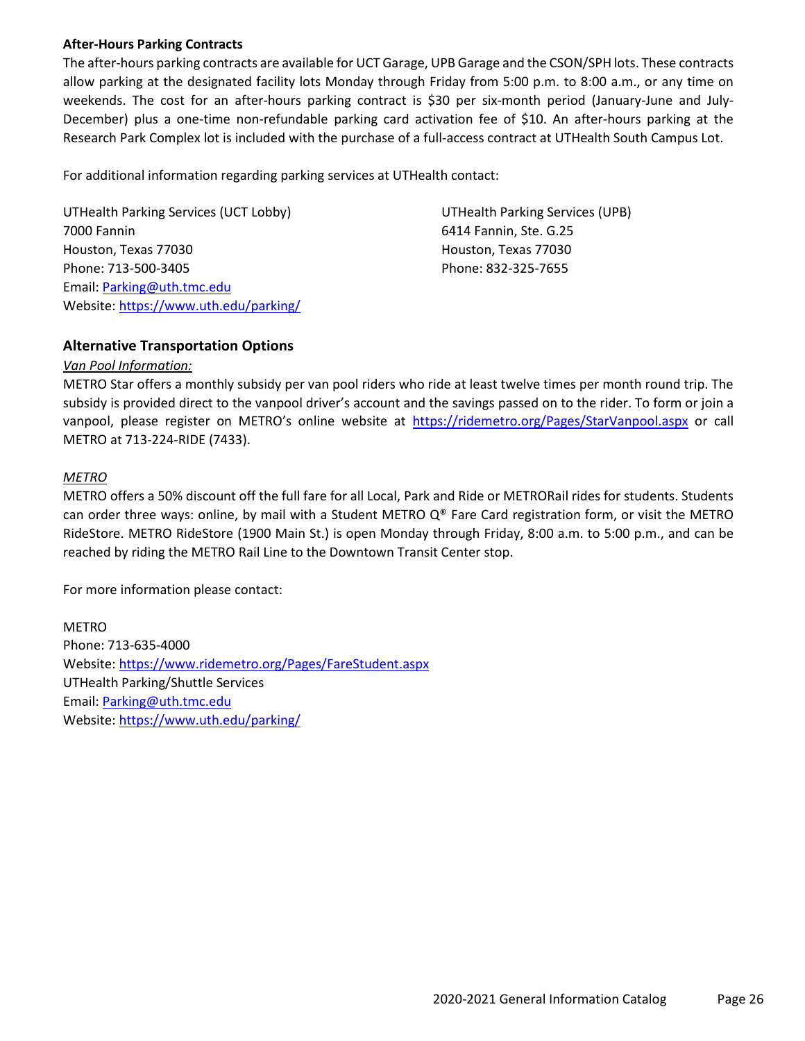#### **After-Hours Parking Contracts**

The after-hours parking contracts are available for UCT Garage, UPB Garage and the CSON/SPH lots. These contracts allow parking at the designated facility lots Monday through Friday from 5:00 p.m. to 8:00 a.m., or any time on weekends. The cost for an after-hours parking contract is \$30 per six-month period (January-June and July-December) plus a one-time non-refundable parking card activation fee of \$10. An after-hours parking at the Research Park Complex lot is included with the purchase of a full-access contract at UTHealth South Campus Lot.

For additional information regarding parking services at UTHealth contact:

UTHealth Parking Services (UCT Lobby) UTHealth Parking Services (UPB) 7000 Fannin 6414 Fannin, Ste. G.25 Houston, Texas 77030 Houston, Texas 77030 Phone: 713-500-3405 Phone: 832-325-7655 Email: [Parking@uth.tmc.edu](mailto:Parking@uth.tmc.edu) Website[: https://www.uth.edu/parking/](https://www.uth.edu/parking/)

## **Alternative Transportation Options**

#### *Van Pool Information:*

METRO Star offers a monthly subsidy per van pool riders who ride at least twelve times per month round trip. The subsidy is provided direct to the vanpool driver's account and the savings passed on to the rider. To form or join a vanpool, please register on METRO's online website at<https://ridemetro.org/Pages/StarVanpool.aspx> or call METRO at 713-224-RIDE (7433).

## *METRO*

METRO offers a 50% discount off the full fare for all Local, Park and Ride or METRORail rides for students. Students can order three ways: online, by mail with a Student METRO  $Q^{\circ}$  Fare Card registration form, or visit the METRO RideStore. METRO RideStore (1900 Main St.) is open Monday through Friday, 8:00 a.m. to 5:00 p.m., and can be reached by riding the METRO Rail Line to the Downtown Transit Center stop.

For more information please contact:

METRO Phone: 713-635-4000 Website[: https://www.ridemetro.org/Pages/FareStudent.aspx](https://www.ridemetro.org/Pages/FareStudent.aspx) UTHealth Parking/Shuttle Services Email: [Parking@uth.tmc.edu](mailto:Parking@uth.tmc.edu) Website[: https://www.uth.edu/parking/](https://www.uth.edu/parking/)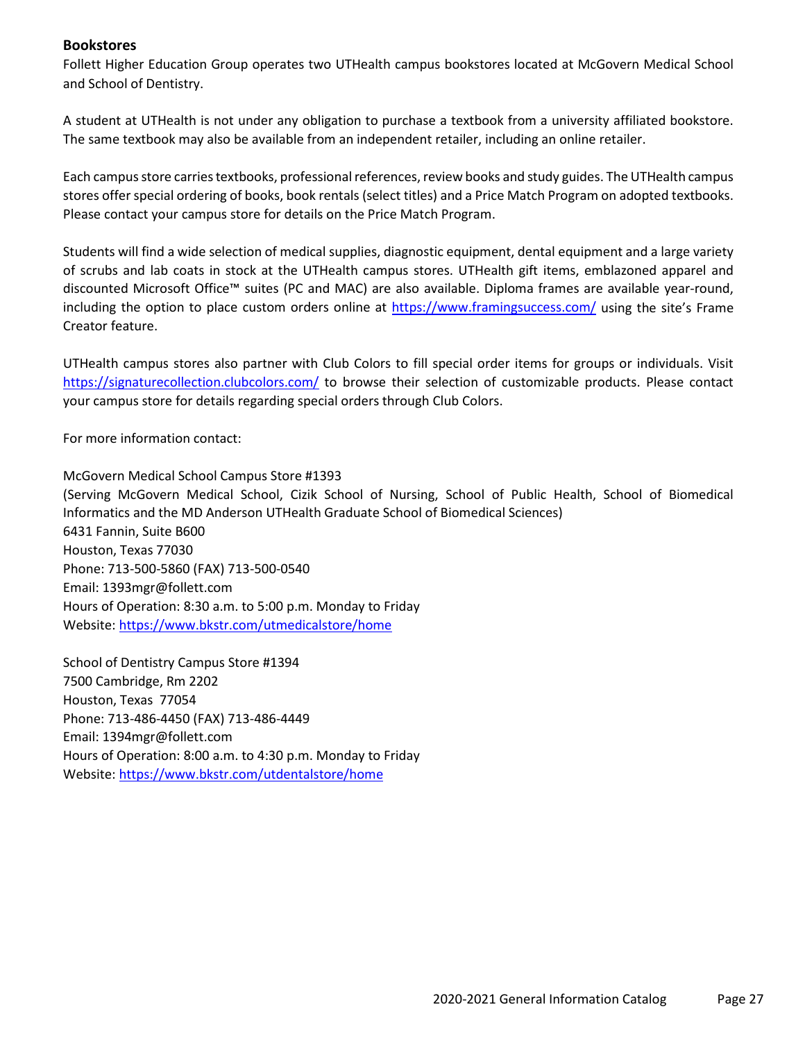## **Bookstores**

Follett Higher Education Group operates two UTHealth campus bookstores located at McGovern Medical School and School of Dentistry.

A student at UTHealth is not under any obligation to purchase a textbook from a university affiliated bookstore. The same textbook may also be available from an independent retailer, including an online retailer.

Each campus store carries textbooks, professional references, review books and study guides. The UTHealth campus stores offer special ordering of books, book rentals (select titles) and a Price Match Program on adopted textbooks. Please contact your campus store for details on the Price Match Program.

Students will find a wide selection of medical supplies, diagnostic equipment, dental equipment and a large variety of scrubs and lab coats in stock at the UTHealth campus stores. UTHealth gift items, emblazoned apparel and discounted Microsoft Office™ suites (PC and MAC) are also available. Diploma frames are available year-round, including the option to place custom orders online at<https://www.framingsuccess.com/> using the site's Frame Creator feature.

UTHealth campus stores also partner with Club Colors to fill special order items for groups or individuals. Visit <https://signaturecollection.clubcolors.com/> to browse their selection of customizable products. Please contact your campus store for details regarding special orders through Club Colors.

For more information contact:

McGovern Medical School Campus Store #1393 (Serving McGovern Medical School, Cizik School of Nursing, School of Public Health, School of Biomedical Informatics and the MD Anderson UTHealth Graduate School of Biomedical Sciences) 6431 Fannin, Suite B600 Houston, Texas 77030 Phone: 713-500-5860 (FAX) 713-500-0540 Email: 1393mgr@follett.com Hours of Operation: 8:30 a.m. to 5:00 p.m. Monday to Friday Website[: https://www.bkstr.com/utmedicalstore/home](https://www.bkstr.com/utmedicalstore/home)

School of Dentistry Campus Store #1394 7500 Cambridge, Rm 2202 Houston, Texas 77054 Phone: 713-486-4450 (FAX) 713-486-4449 Email: 1394mgr@follett.com Hours of Operation: 8:00 a.m. to 4:30 p.m. Monday to Friday Website[: https://www.bkstr.com/utdentalstore/home](https://www.bkstr.com/utdentalstore/home)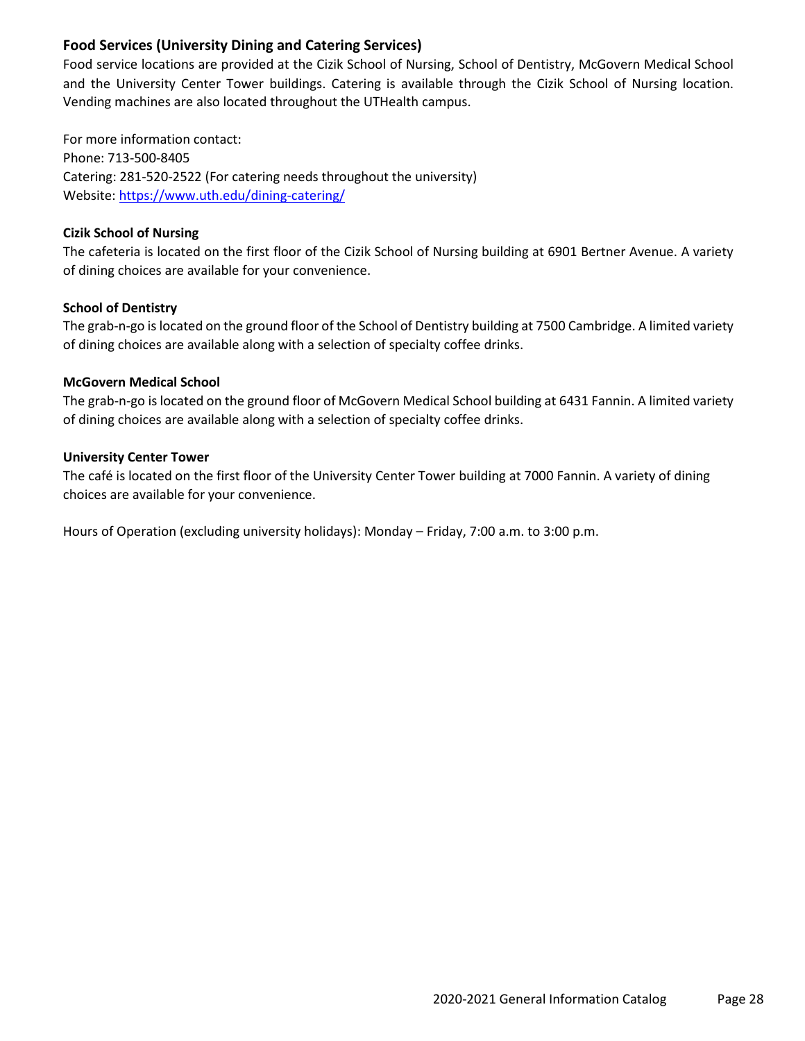## **Food Services (University Dining and Catering Services)**

Food service locations are provided at the Cizik School of Nursing, School of Dentistry, McGovern Medical School and the University Center Tower buildings. Catering is available through the Cizik School of Nursing location. Vending machines are also located throughout the UTHealth campus.

For more information contact: Phone: 713-500-8405 Catering: 281-520-2522 (For catering needs throughout the university) Website[: https://www.uth.edu/dining-catering/](https://www.uth.edu/dining-catering/)

## **Cizik School of Nursing**

The cafeteria is located on the first floor of the Cizik School of Nursing building at 6901 Bertner Avenue. A variety of dining choices are available for your convenience.

## **School of Dentistry**

The grab-n-go is located on the ground floor of the School of Dentistry building at 7500 Cambridge. A limited variety of dining choices are available along with a selection of specialty coffee drinks.

#### **McGovern Medical School**

The grab-n-go is located on the ground floor of McGovern Medical School building at 6431 Fannin. A limited variety of dining choices are available along with a selection of specialty coffee drinks.

#### **University Center Tower**

The café is located on the first floor of the University Center Tower building at 7000 Fannin. A variety of dining choices are available for your convenience.

Hours of Operation (excluding university holidays): Monday – Friday, 7:00 a.m. to 3:00 p.m.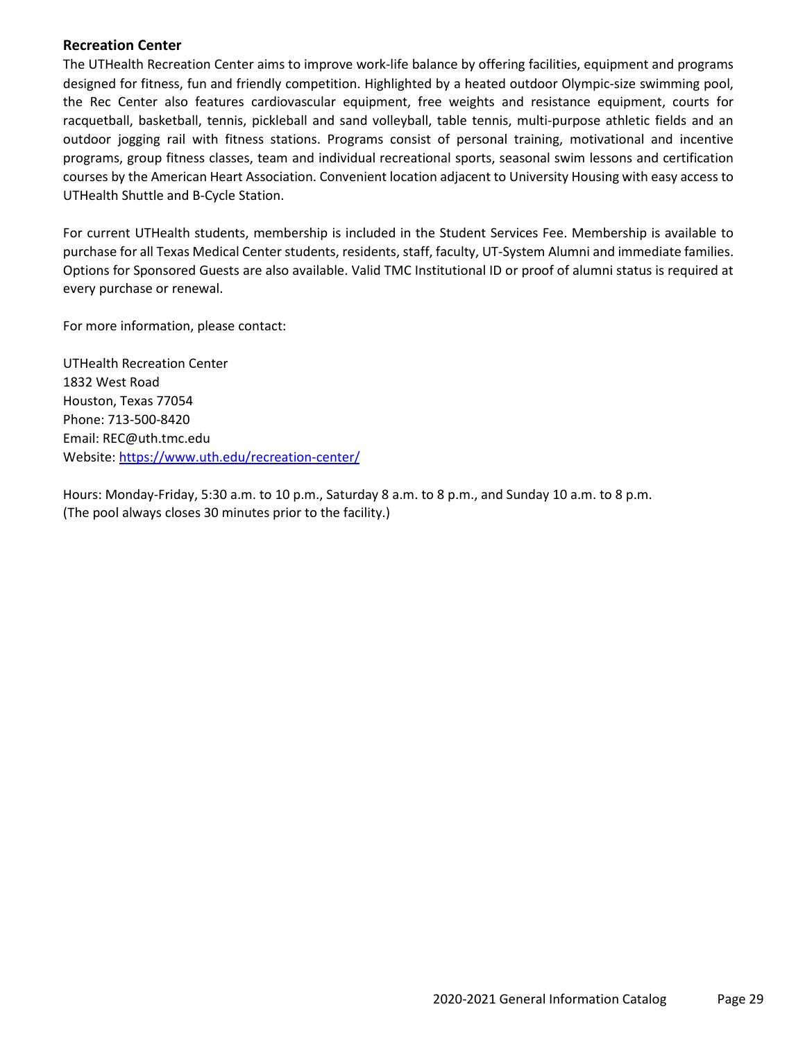#### **Recreation Center**

The UTHealth Recreation Center aims to improve work-life balance by offering facilities, equipment and programs designed for fitness, fun and friendly competition. Highlighted by a heated outdoor Olympic-size swimming pool, the Rec Center also features cardiovascular equipment, free weights and resistance equipment, courts for racquetball, basketball, tennis, pickleball and sand volleyball, table tennis, multi-purpose athletic fields and an outdoor jogging rail with fitness stations. Programs consist of personal training, motivational and incentive programs, group fitness classes, team and individual recreational sports, seasonal swim lessons and certification courses by the American Heart Association. Convenient location adjacent to University Housing with easy access to UTHealth Shuttle and B-Cycle Station.

For current UTHealth students, membership is included in the Student Services Fee. Membership is available to purchase for all Texas Medical Center students, residents, staff, faculty, UT-System Alumni and immediate families. Options for Sponsored Guests are also available. Valid TMC Institutional ID or proof of alumni status is required at every purchase or renewal.

For more information, please contact:

UTHealth Recreation Center 1832 West Road Houston, Texas 77054 Phone: 713-500-8420 Email: REC@uth.tmc.edu Website[: https://www.uth.edu/recreation-center/](https://www.uth.edu/recreation-center/)

Hours: Monday-Friday, 5:30 a.m. to 10 p.m., Saturday 8 a.m. to 8 p.m., and Sunday 10 a.m. to 8 p.m. (The pool always closes 30 minutes prior to the facility.)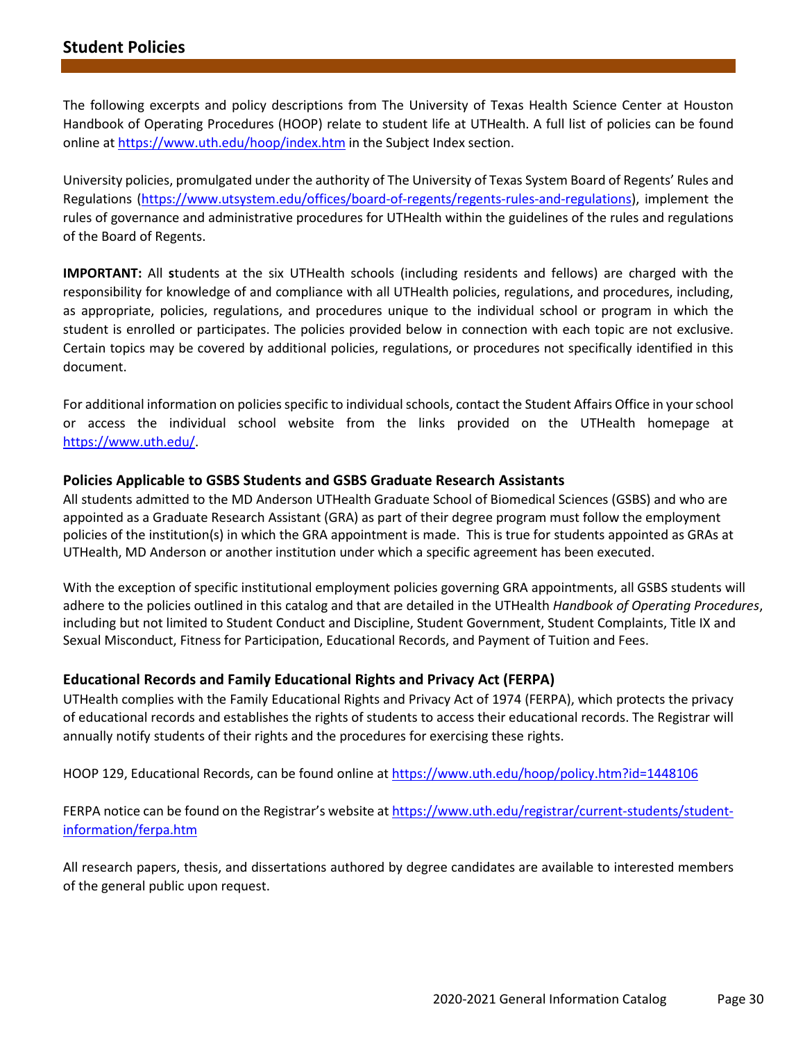The following excerpts and policy descriptions from The University of Texas Health Science Center at Houston Handbook of Operating Procedures (HOOP) relate to student life at UTHealth. A full list of policies can be found online at<https://www.uth.edu/hoop/index.htm> in the Subject Index section.

University policies, promulgated under the authority of The University of Texas System Board of Regents' Rules and Regulations [\(https://www.utsystem.edu/offices/board-of-regents/regents-rules-and-regulations\)](https://www.utsystem.edu/offices/board-of-regents/regents-rules-and-regulations), implement the rules of governance and administrative procedures for UTHealth within the guidelines of the rules and regulations of the Board of Regents.

**IMPORTANT:** All **s**tudents at the six UTHealth schools (including residents and fellows) are charged with the responsibility for knowledge of and compliance with all UTHealth policies, regulations, and procedures, including, as appropriate, policies, regulations, and procedures unique to the individual school or program in which the student is enrolled or participates. The policies provided below in connection with each topic are not exclusive. Certain topics may be covered by additional policies, regulations, or procedures not specifically identified in this document.

For additional information on policies specific to individual schools, contact the Student Affairs Office in your school or access the individual school website from the links provided on the UTHealth homepage at [https://www.uth.edu/.](https://www.uth.edu/)

#### **Policies Applicable to GSBS Students and GSBS Graduate Research Assistants**

All students admitted to the MD Anderson UTHealth Graduate School of Biomedical Sciences (GSBS) and who are appointed as a Graduate Research Assistant (GRA) as part of their degree program must follow the employment policies of the institution(s) in which the GRA appointment is made. This is true for students appointed as GRAs at UTHealth, MD Anderson or another institution under which a specific agreement has been executed.

With the exception of specific institutional employment policies governing GRA appointments, all GSBS students will adhere to the policies outlined in this catalog and that are detailed in the UTHealth *Handbook of Operating Procedures*, including but not limited to Student Conduct and Discipline, Student Government, Student Complaints, Title IX and Sexual Misconduct, Fitness for Participation, Educational Records, and Payment of Tuition and Fees.

#### **Educational Records and Family Educational Rights and Privacy Act (FERPA)**

UTHealth complies with the Family Educational Rights and Privacy Act of 1974 (FERPA), which protects the privacy of educational records and establishes the rights of students to access their educational records. The Registrar will annually notify students of their rights and the procedures for exercising these rights.

HOOP 129, Educational Records, can be found online at<https://www.uth.edu/hoop/policy.htm?id=1448106>

FERPA notice can be found on the Registrar's website a[t https://www.uth.edu/registrar/current-students/student](https://www.uth.edu/registrar/current-students/student-information/ferpa.htm)[information/ferpa.htm](https://www.uth.edu/registrar/current-students/student-information/ferpa.htm)

All research papers, thesis, and dissertations authored by degree candidates are available to interested members of the general public upon request.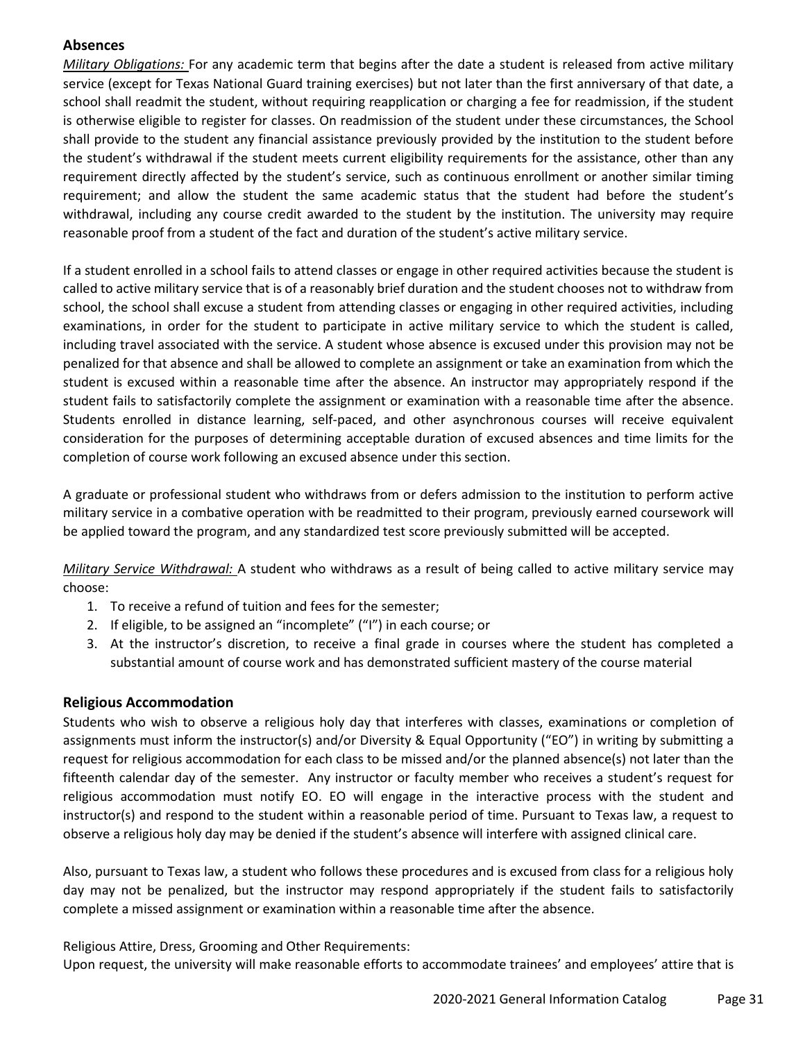## **Absences**

*Military Obligations:* For any academic term that begins after the date a student is released from active military service (except for Texas National Guard training exercises) but not later than the first anniversary of that date, a school shall readmit the student, without requiring reapplication or charging a fee for readmission, if the student is otherwise eligible to register for classes. On readmission of the student under these circumstances, the School shall provide to the student any financial assistance previously provided by the institution to the student before the student's withdrawal if the student meets current eligibility requirements for the assistance, other than any requirement directly affected by the student's service, such as continuous enrollment or another similar timing requirement; and allow the student the same academic status that the student had before the student's withdrawal, including any course credit awarded to the student by the institution. The university may require reasonable proof from a student of the fact and duration of the student's active military service.

If a student enrolled in a school fails to attend classes or engage in other required activities because the student is called to active military service that is of a reasonably brief duration and the student chooses not to withdraw from school, the school shall excuse a student from attending classes or engaging in other required activities, including examinations, in order for the student to participate in active military service to which the student is called, including travel associated with the service. A student whose absence is excused under this provision may not be penalized for that absence and shall be allowed to complete an assignment or take an examination from which the student is excused within a reasonable time after the absence. An instructor may appropriately respond if the student fails to satisfactorily complete the assignment or examination with a reasonable time after the absence. Students enrolled in distance learning, self-paced, and other asynchronous courses will receive equivalent consideration for the purposes of determining acceptable duration of excused absences and time limits for the completion of course work following an excused absence under this section.

A graduate or professional student who withdraws from or defers admission to the institution to perform active military service in a combative operation with be readmitted to their program, previously earned coursework will be applied toward the program, and any standardized test score previously submitted will be accepted.

*Military Service Withdrawal:* A student who withdraws as a result of being called to active military service may choose:

- 1. To receive a refund of tuition and fees for the semester;
- 2. If eligible, to be assigned an "incomplete" ("I") in each course; or
- 3. At the instructor's discretion, to receive a final grade in courses where the student has completed a substantial amount of course work and has demonstrated sufficient mastery of the course material

#### **Religious Accommodation**

Students who wish to observe a religious holy day that interferes with classes, examinations or completion of assignments must inform the instructor(s) and/or Diversity & Equal Opportunity ("EO") in writing by submitting a request for religious accommodation for each class to be missed and/or the planned absence(s) not later than the fifteenth calendar day of the semester. Any instructor or faculty member who receives a student's request for religious accommodation must notify EO. EO will engage in the interactive process with the student and instructor(s) and respond to the student within a reasonable period of time. Pursuant to Texas law, a request to observe a religious holy day may be denied if the student's absence will interfere with assigned clinical care.

Also, pursuant to Texas law, a student who follows these procedures and is excused from class for a religious holy day may not be penalized, but the instructor may respond appropriately if the student fails to satisfactorily complete a missed assignment or examination within a reasonable time after the absence.

Religious Attire, Dress, Grooming and Other Requirements:

Upon request, the university will make reasonable efforts to accommodate trainees' and employees' attire that is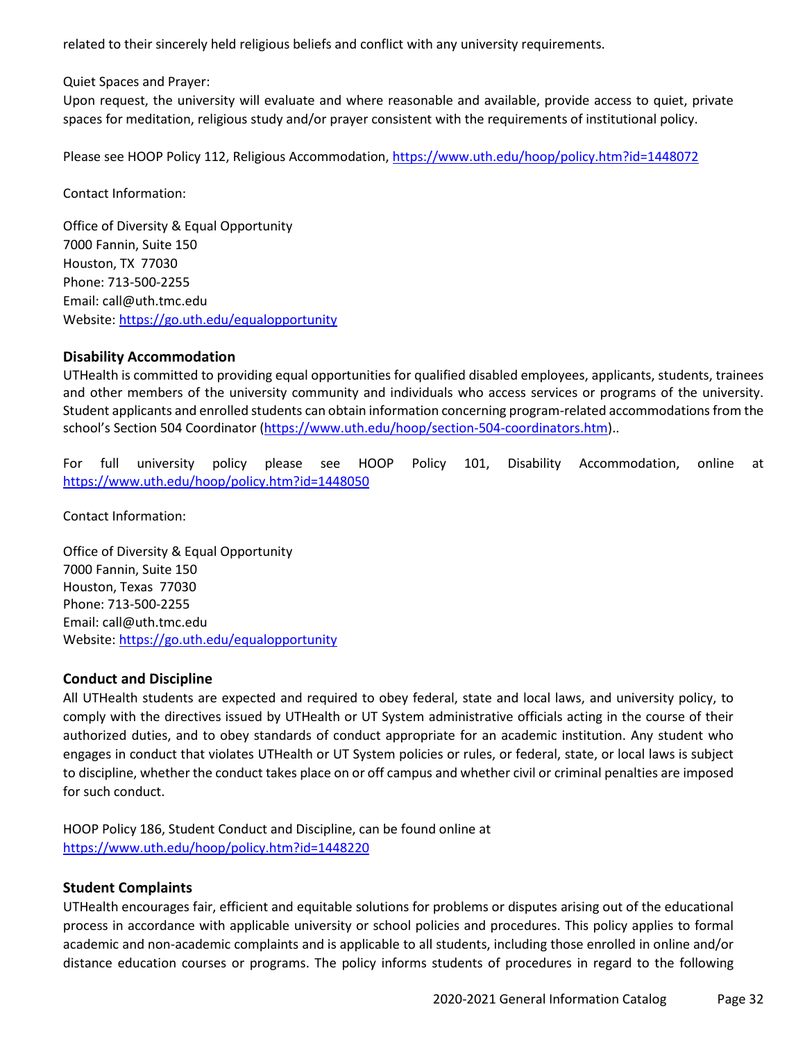related to their sincerely held religious beliefs and conflict with any university requirements.

Quiet Spaces and Prayer:

Upon request, the university will evaluate and where reasonable and available, provide access to quiet, private spaces for meditation, religious study and/or prayer consistent with the requirements of institutional policy.

Please see HOOP Policy 112, Religious Accommodation[, https://www.uth.edu/hoop/policy.htm?id=1448072](https://www.uth.edu/hoop/policy.htm?id=1448072)

Contact Information:

Office of Diversity & Equal Opportunity 7000 Fannin, Suite 150 Houston, TX 77030 Phone: 713-500-2255 Email: [call@uth.tmc.edu](mailto:call@uth.tmc.edu) Website[: https://go.uth.edu/equalopportunity](https://go.uth.edu/equalopportunity)

## **Disability Accommodation**

UTHealth is committed to providing equal opportunities for qualified disabled employees, applicants, students, trainees and other members of the university community and individuals who access services or programs of the university. Student applicants and enrolled students can obtain information concerning program-related accommodations from the school's Section 504 Coordinator [\(https://www.uth.edu/hoop/section-504-coordinators.htm\)](https://www.uth.edu/hoop/section-504-coordinators.htm)..

For full university policy please see HOOP Policy 101, Disability Accommodation, online at <https://www.uth.edu/hoop/policy.htm?id=1448050>

Contact Information:

Office of Diversity & Equal Opportunity 7000 Fannin, Suite 150 Houston, Texas 77030 Phone: 713-500-2255 Email: [call@uth.tmc.edu](mailto:call@uth.tmc.edu) Website[: https://go.uth.edu/equalopportunity](https://go.uth.edu/equalopportunity)

#### **Conduct and Discipline**

All UTHealth students are expected and required to obey federal, state and local laws, and university policy, to comply with the directives issued by UTHealth or UT System administrative officials acting in the course of their authorized duties, and to obey standards of conduct appropriate for an academic institution. Any student who engages in conduct that violates UTHealth or UT System policies or rules, or federal, state, or local laws is subject to discipline, whether the conduct takes place on or off campus and whether civil or criminal penalties are imposed for such conduct.

HOOP Policy 186, Student Conduct and Discipline, can be found online at <https://www.uth.edu/hoop/policy.htm?id=1448220>

## **Student Complaints**

UTHealth encourages fair, efficient and equitable solutions for problems or disputes arising out of the educational process in accordance with applicable university or school policies and procedures. This policy applies to formal academic and non-academic complaints and is applicable to all students, including those enrolled in online and/or distance education courses or programs. The policy informs students of procedures in regard to the following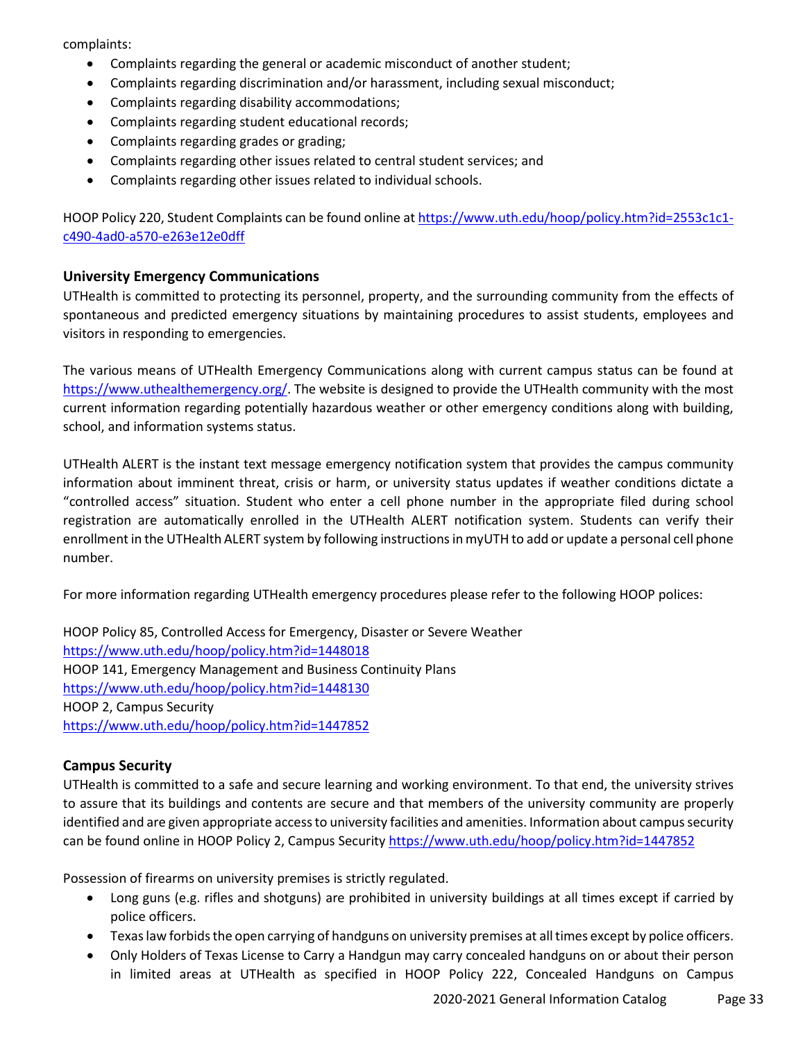complaints:

- Complaints regarding the general or academic misconduct of another student;
- Complaints regarding discrimination and/or harassment, including sexual misconduct;
- Complaints regarding disability accommodations;
- Complaints regarding student educational records;
- Complaints regarding grades or grading;
- Complaints regarding other issues related to central student services; and
- Complaints regarding other issues related to individual schools.

HOOP Policy 220, Student Complaints can be found online a[t https://www.uth.edu/hoop/policy.htm?id=2553c1c1](https://www.uth.edu/hoop/policy.htm?id=2553c1c1-c490-4ad0-a570-e263e12e0dff) [c490-4ad0-a570-e263e12e0dff](https://www.uth.edu/hoop/policy.htm?id=2553c1c1-c490-4ad0-a570-e263e12e0dff)

## **University Emergency Communications**

UTHealth is committed to protecting its personnel, property, and the surrounding community from the effects of spontaneous and predicted emergency situations by maintaining procedures to assist students, employees and visitors in responding to emergencies.

The various means of UTHealth Emergency Communications along with current campus status can be found at [https://www.uthealthemergency.org/.](https://www.uthealthemergency.org/) The website is designed to provide the UTHealth community with the most current information regarding potentially hazardous weather or other emergency conditions along with building, school, and information systems status.

UTHealth ALERT is the instant text message emergency notification system that provides the campus community information about imminent threat, crisis or harm, or university status updates if weather conditions dictate a "controlled access" situation. Student who enter a cell phone number in the appropriate filed during school registration are automatically enrolled in the UTHealth ALERT notification system. Students can verify their enrollment in the UTHealth ALERT system by following instructions in myUTH to add or update a personal cell phone number.

For more information regarding UTHealth emergency procedures please refer to the following HOOP polices:

HOOP Policy 85, Controlled Access for Emergency, Disaster or Severe Weather <https://www.uth.edu/hoop/policy.htm?id=1448018> HOOP 141, Emergency Management and Business Continuity Plans <https://www.uth.edu/hoop/policy.htm?id=1448130> HOOP 2, Campus Security <https://www.uth.edu/hoop/policy.htm?id=1447852>

## **Campus Security**

UTHealth is committed to a safe and secure learning and working environment. To that end, the university strives to assure that its buildings and contents are secure and that members of the university community are properly identified and are given appropriate access to university facilities and amenities. Information about campus security can be found online in HOOP Policy 2, Campus Security<https://www.uth.edu/hoop/policy.htm?id=1447852>

Possession of firearms on university premises is strictly regulated.

- Long guns (e.g. rifles and shotguns) are prohibited in university buildings at all times except if carried by police officers.
- Texas law forbids the open carrying of handguns on university premises at all times except by police officers.
- Only Holders of Texas License to Carry a Handgun may carry concealed handguns on or about their person in limited areas at UTHealth as specified in HOOP Policy 222, Concealed Handguns on Campus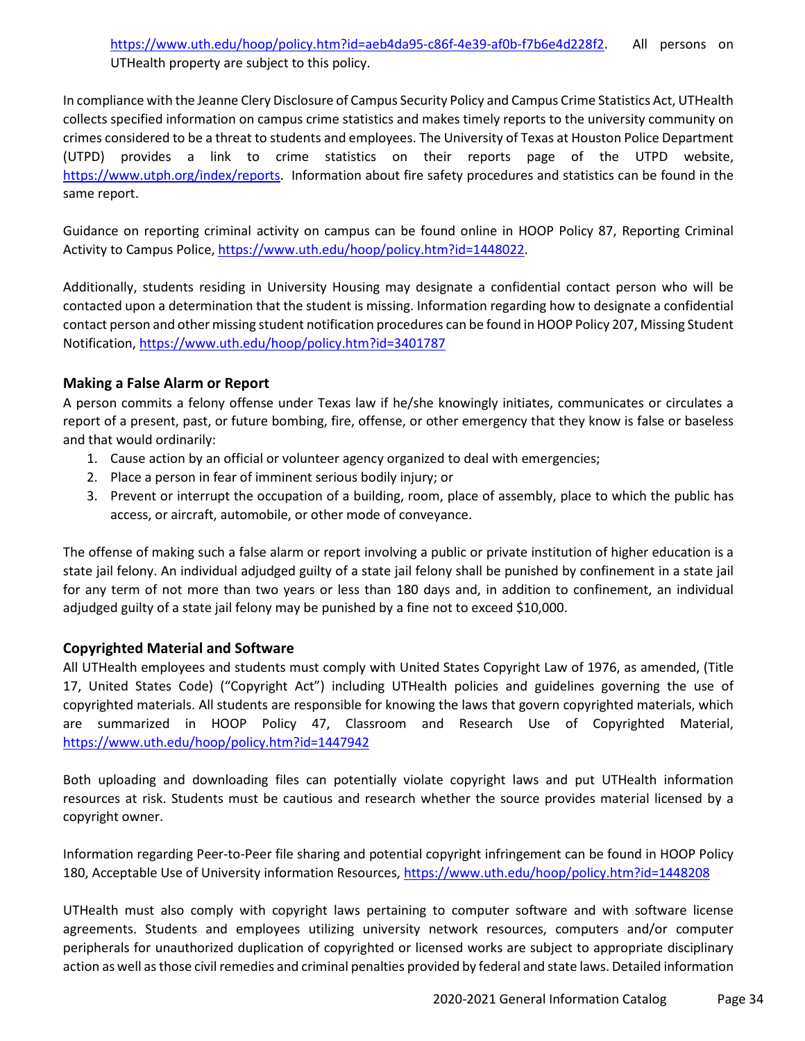In compliance with the Jeanne Clery Disclosure of Campus Security Policy and Campus Crime Statistics Act, UTHealth collects specified information on campus crime statistics and makes timely reports to the university community on crimes considered to be a threat to students and employees. The University of Texas at Houston Police Department (UTPD) provides a link to crime statistics on their reports page of the UTPD website, [https://www.utph.org/index/reports.](https://www.utph.org/index/reports) Information about fire safety procedures and statistics can be found in the same report.

Guidance on reporting criminal activity on campus can be found online in HOOP Policy 87, Reporting Criminal Activity to Campus Police, [https://www.uth.edu/hoop/policy.htm?id=1448022.](https://www.uth.edu/hoop/policy.htm?id=1448022)

Additionally, students residing in University Housing may designate a confidential contact person who will be contacted upon a determination that the student is missing. Information regarding how to designate a confidential contact person and other missing student notification procedures can be found in HOOP Policy 207, Missing Student Notification,<https://www.uth.edu/hoop/policy.htm?id=3401787>

# **Making a False Alarm or Report**

A person commits a felony offense under Texas law if he/she knowingly initiates, communicates or circulates a report of a present, past, or future bombing, fire, offense, or other emergency that they know is false or baseless and that would ordinarily:

- 1. Cause action by an official or volunteer agency organized to deal with emergencies;
- 2. Place a person in fear of imminent serious bodily injury; or
- 3. Prevent or interrupt the occupation of a building, room, place of assembly, place to which the public has access, or aircraft, automobile, or other mode of conveyance.

The offense of making such a false alarm or report involving a public or private institution of higher education is a state jail felony. An individual adjudged guilty of a state jail felony shall be punished by confinement in a state jail for any term of not more than two years or less than 180 days and, in addition to confinement, an individual adjudged guilty of a state jail felony may be punished by a fine not to exceed \$10,000.

# **Copyrighted Material and Software**

All UTHealth employees and students must comply with United States Copyright Law of 1976, as amended, (Title 17, United States Code) ("Copyright Act") including UTHealth policies and guidelines governing the use of copyrighted materials. All students are responsible for knowing the laws that govern copyrighted materials, which are summarized in HOOP Policy 47, Classroom and Research Use of Copyrighted Material, <https://www.uth.edu/hoop/policy.htm?id=1447942>

Both uploading and downloading files can potentially violate copyright laws and put UTHealth information resources at risk. Students must be cautious and research whether the source provides material licensed by a copyright owner.

Information regarding Peer-to-Peer file sharing and potential copyright infringement can be found in HOOP Policy 180, Acceptable Use of University information Resources,<https://www.uth.edu/hoop/policy.htm?id=1448208>

UTHealth must also comply with copyright laws pertaining to computer software and with software license agreements. Students and employees utilizing university network resources, computers and/or computer peripherals for unauthorized duplication of copyrighted or licensed works are subject to appropriate disciplinary action as well as those civil remedies and criminal penalties provided by federal and state laws. Detailed information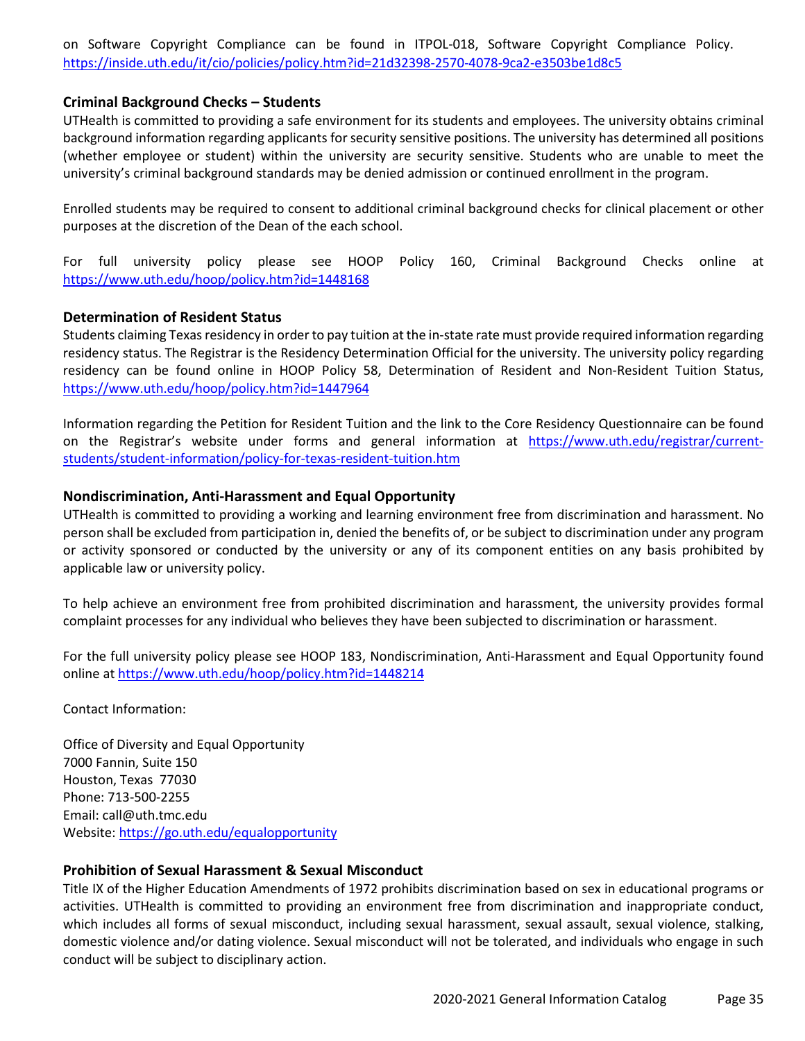on Software Copyright Compliance can be found in ITPOL-018, Software Copyright Compliance Policy. <https://inside.uth.edu/it/cio/policies/policy.htm?id=21d32398-2570-4078-9ca2-e3503be1d8c5>

## **Criminal Background Checks – Students**

UTHealth is committed to providing a safe environment for its students and employees. The university obtains criminal background information regarding applicants for security sensitive positions. The university has determined all positions (whether employee or student) within the university are security sensitive. Students who are unable to meet the university's criminal background standards may be denied admission or continued enrollment in the program.

Enrolled students may be required to consent to additional criminal background checks for clinical placement or other purposes at the discretion of the Dean of the each school.

For full university policy please see HOOP Policy 160, Criminal Background Checks online at <https://www.uth.edu/hoop/policy.htm?id=1448168>

## **Determination of Resident Status**

Students claiming Texas residency in order to pay tuition at the in-state rate must provide required information regarding residency status. The Registrar is the Residency Determination Official for the university. The university policy regarding residency can be found online in HOOP Policy 58, Determination of Resident and Non-Resident Tuition Status, <https://www.uth.edu/hoop/policy.htm?id=1447964>

Information regarding the Petition for Resident Tuition and the link to the Core Residency Questionnaire can be found on the Registrar's website under forms and general information at [https://www.uth.edu/registrar/current](https://www.uth.edu/registrar/current-students/student-information/policy-for-texas-resident-tuition.htm)[students/student-information/policy-for-texas-resident-tuition.htm](https://www.uth.edu/registrar/current-students/student-information/policy-for-texas-resident-tuition.htm)

## **Nondiscrimination, Anti-Harassment and Equal Opportunity**

UTHealth is committed to providing a working and learning environment free from discrimination and harassment. No person shall be excluded from participation in, denied the benefits of, or be subject to discrimination under any program or activity sponsored or conducted by the university or any of its component entities on any basis prohibited by applicable law or university policy.

To help achieve an environment free from prohibited discrimination and harassment, the university provides formal complaint processes for any individual who believes they have been subjected to discrimination or harassment.

For the full university policy please see HOOP 183, Nondiscrimination, Anti-Harassment and Equal Opportunity found online at<https://www.uth.edu/hoop/policy.htm?id=1448214>

Contact Information:

Office of Diversity and Equal Opportunity 7000 Fannin, Suite 150 Houston, Texas 77030 Phone: 713-500-2255 Email: [call@uth.tmc.edu](mailto:call@uth.tmc.edu) Website[: https://go.uth.edu/equalopportunity](https://go.uth.edu/equalopportunity)

## **Prohibition of Sexual Harassment & Sexual Misconduct**

Title IX of the Higher Education Amendments of 1972 prohibits discrimination based on sex in educational programs or activities. UTHealth is committed to providing an environment free from discrimination and inappropriate conduct, which includes all forms of sexual misconduct, including sexual harassment, sexual assault, sexual violence, stalking, domestic violence and/or dating violence. Sexual misconduct will not be tolerated, and individuals who engage in such conduct will be subject to disciplinary action.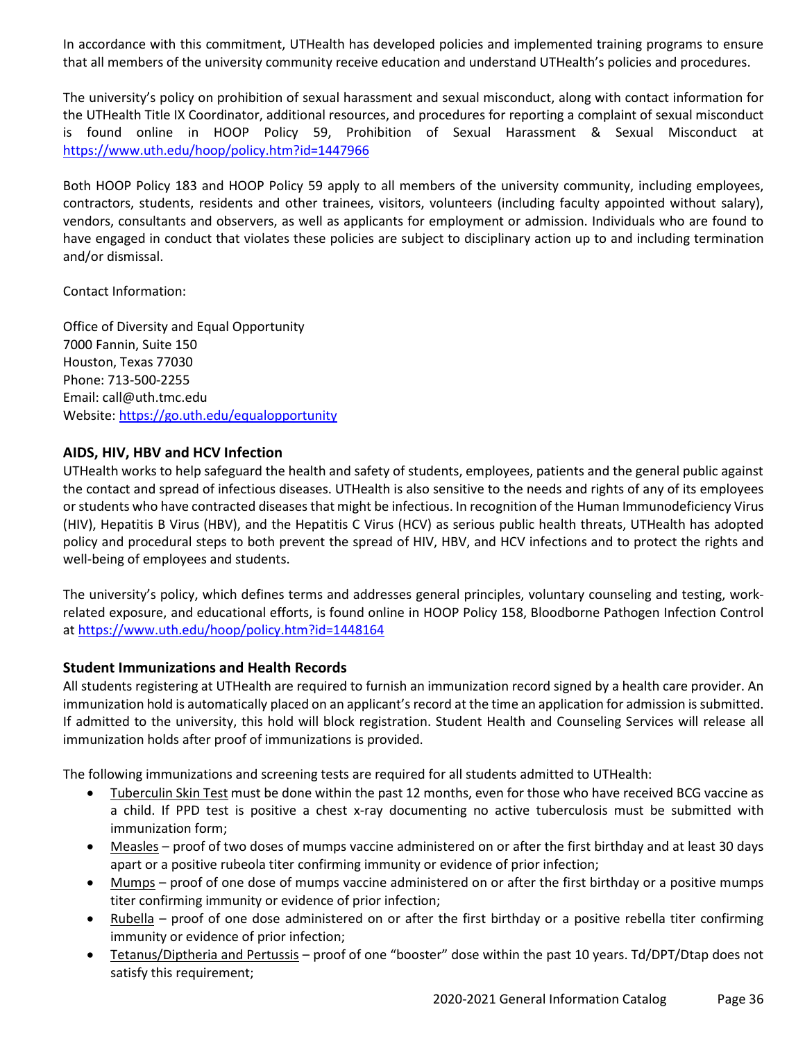In accordance with this commitment, UTHealth has developed policies and implemented training programs to ensure that all members of the university community receive education and understand UTHealth's policies and procedures.

The university's policy on prohibition of sexual harassment and sexual misconduct, along with contact information for the UTHealth Title IX Coordinator, additional resources, and procedures for reporting a complaint of sexual misconduct is found online in HOOP Policy 59, Prohibition of Sexual Harassment & Sexual Misconduct at <https://www.uth.edu/hoop/policy.htm?id=1447966>

Both HOOP Policy 183 and HOOP Policy 59 apply to all members of the university community, including employees, contractors, students, residents and other trainees, visitors, volunteers (including faculty appointed without salary), vendors, consultants and observers, as well as applicants for employment or admission. Individuals who are found to have engaged in conduct that violates these policies are subject to disciplinary action up to and including termination and/or dismissal.

Contact Information:

Office of Diversity and Equal Opportunity 7000 Fannin, Suite 150 Houston, Texas 77030 Phone: 713-500-2255 Email: [call@uth.tmc.edu](mailto:call@uth.tmc.edu) Website[: https://go.uth.edu/equalopportunity](https://go.uth.edu/equalopportunity)

## **AIDS, HIV, HBV and HCV Infection**

UTHealth works to help safeguard the health and safety of students, employees, patients and the general public against the contact and spread of infectious diseases. UTHealth is also sensitive to the needs and rights of any of its employees or students who have contracted diseases that might be infectious. In recognition of the Human Immunodeficiency Virus (HIV), Hepatitis B Virus (HBV), and the Hepatitis C Virus (HCV) as serious public health threats, UTHealth has adopted policy and procedural steps to both prevent the spread of HIV, HBV, and HCV infections and to protect the rights and well-being of employees and students.

The university's policy, which defines terms and addresses general principles, voluntary counseling and testing, workrelated exposure, and educational efforts, is found online in HOOP Policy 158, Bloodborne Pathogen Infection Control at<https://www.uth.edu/hoop/policy.htm?id=1448164>

#### **Student Immunizations and Health Records**

All students registering at UTHealth are required to furnish an immunization record signed by a health care provider. An immunization hold is automatically placed on an applicant's record at the time an application for admission is submitted. If admitted to the university, this hold will block registration. Student Health and Counseling Services will release all immunization holds after proof of immunizations is provided.

The following immunizations and screening tests are required for all students admitted to UTHealth:

- Tuberculin Skin Test must be done within the past 12 months, even for those who have received BCG vaccine as a child. If PPD test is positive a chest x-ray documenting no active tuberculosis must be submitted with immunization form;
- Measles proof of two doses of mumps vaccine administered on or after the first birthday and at least 30 days apart or a positive rubeola titer confirming immunity or evidence of prior infection;
- Mumps proof of one dose of mumps vaccine administered on or after the first birthday or a positive mumps titer confirming immunity or evidence of prior infection;
- Rubella proof of one dose administered on or after the first birthday or a positive rebella titer confirming immunity or evidence of prior infection;
- Tetanus/Diptheria and Pertussis proof of one "booster" dose within the past 10 years. Td/DPT/Dtap does not satisfy this requirement;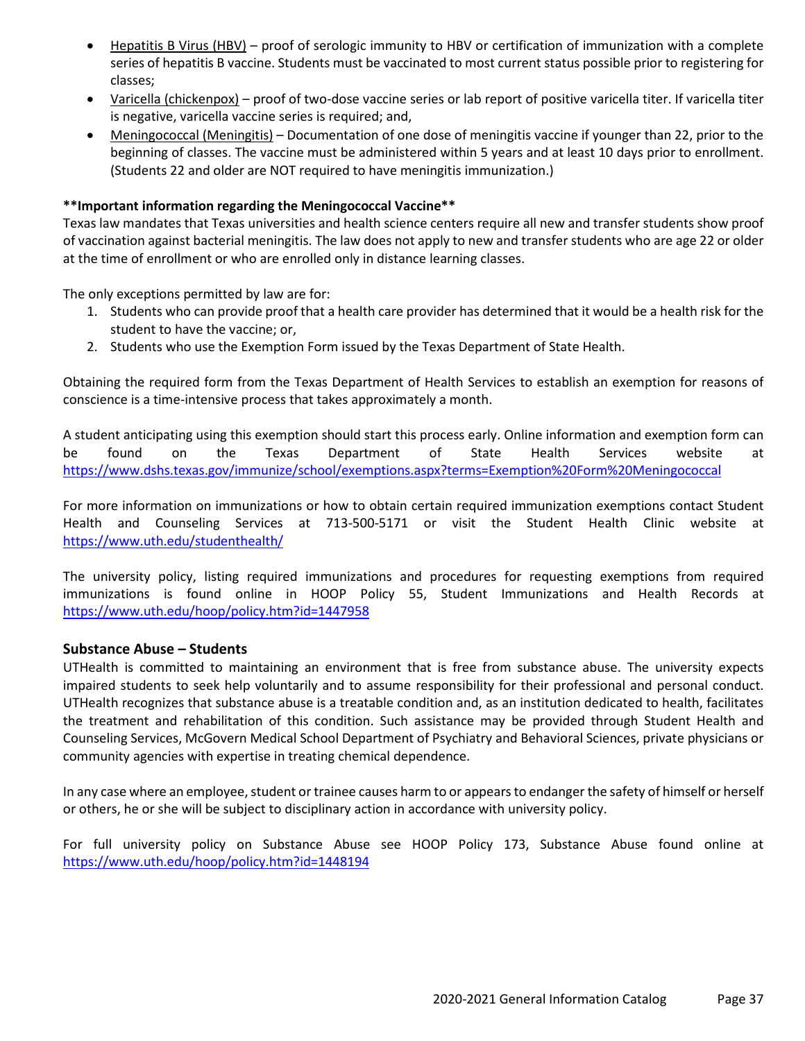- Hepatitis B Virus (HBV) proof of serologic immunity to HBV or certification of immunization with a complete series of hepatitis B vaccine. Students must be vaccinated to most current status possible prior to registering for classes;
- Varicella (chickenpox) proof of two-dose vaccine series or lab report of positive varicella titer. If varicella titer is negative, varicella vaccine series is required; and,
- Meningococcal (Meningitis) Documentation of one dose of meningitis vaccine if younger than 22, prior to the beginning of classes. The vaccine must be administered within 5 years and at least 10 days prior to enrollment. (Students 22 and older are NOT required to have meningitis immunization.)

#### **\*\*Important information regarding the Meningococcal Vaccine\*\***

Texas law mandates that Texas universities and health science centers require all new and transfer students show proof of vaccination against bacterial meningitis. The law does not apply to new and transfer students who are age 22 or older at the time of enrollment or who are enrolled only in distance learning classes.

The only exceptions permitted by law are for:

- 1. Students who can provide proof that a health care provider has determined that it would be a health risk for the student to have the vaccine; or,
- 2. Students who use the Exemption Form issued by the Texas Department of State Health.

Obtaining the required form from the Texas Department of Health Services to establish an exemption for reasons of conscience is a time-intensive process that takes approximately a month.

A student anticipating using this exemption should start this process early. Online information and exemption form can be found on the Texas Department of State Health Services website at <https://www.dshs.texas.gov/immunize/school/exemptions.aspx?terms=Exemption%20Form%20Meningococcal>

For more information on immunizations or how to obtain certain required immunization exemptions contact Student Health and Counseling Services at 713-500-5171 or visit the Student Health Clinic website at <https://www.uth.edu/studenthealth/>

The university policy, listing required immunizations and procedures for requesting exemptions from required immunizations is found online in HOOP Policy 55, Student Immunizations and Health Records at <https://www.uth.edu/hoop/policy.htm?id=1447958>

## **Substance Abuse – Students**

UTHealth is committed to maintaining an environment that is free from substance abuse. The university expects impaired students to seek help voluntarily and to assume responsibility for their professional and personal conduct. UTHealth recognizes that substance abuse is a treatable condition and, as an institution dedicated to health, facilitates the treatment and rehabilitation of this condition. Such assistance may be provided through Student Health and Counseling Services, McGovern Medical School Department of Psychiatry and Behavioral Sciences, private physicians or community agencies with expertise in treating chemical dependence.

In any case where an employee, student or trainee causes harm to or appears to endanger the safety of himself or herself or others, he or she will be subject to disciplinary action in accordance with university policy.

For full university policy on Substance Abuse see HOOP Policy 173, Substance Abuse found online at <https://www.uth.edu/hoop/policy.htm?id=1448194>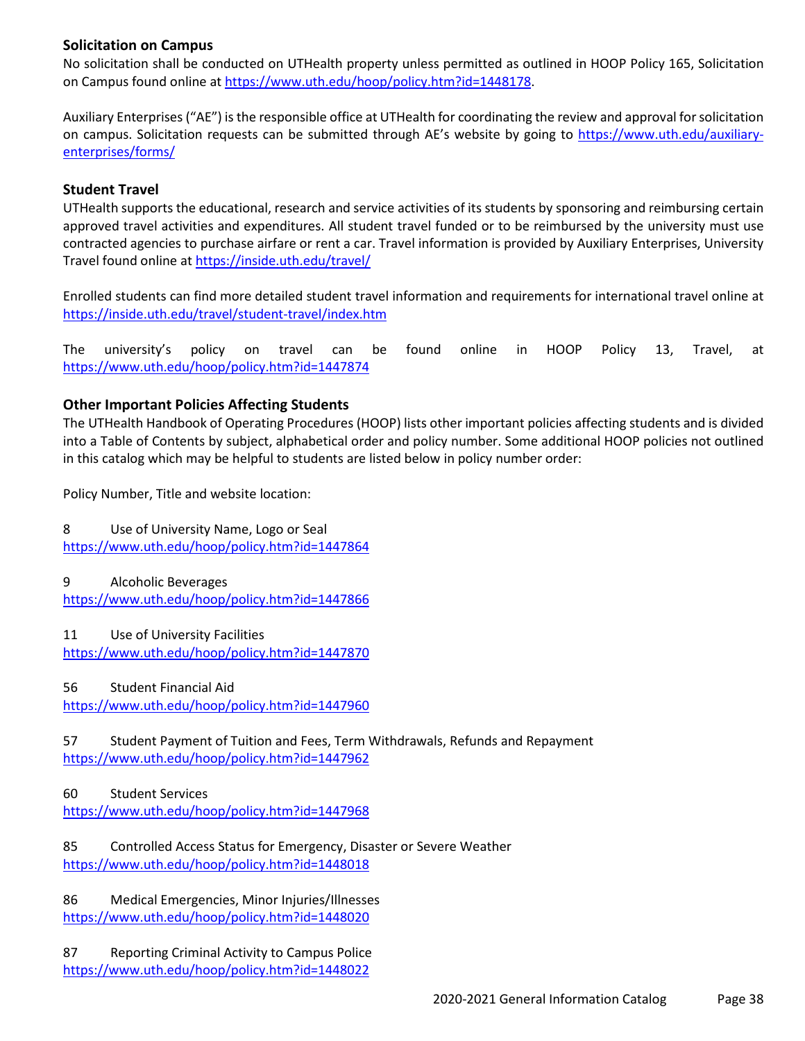## **Solicitation on Campus**

No solicitation shall be conducted on UTHealth property unless permitted as outlined in HOOP Policy 165, Solicitation on Campus found online at [https://www.uth.edu/hoop/policy.htm?id=1448178.](https://www.uth.edu/hoop/policy.htm?id=1448178)

Auxiliary Enterprises ("AE") is the responsible office at UTHealth for coordinating the review and approval for solicitation on campus. Solicitation requests can be submitted through AE's website by going to [https://www.uth.edu/auxiliary](https://www.uth.edu/auxiliary-enterprises/forms/)[enterprises/forms/](https://www.uth.edu/auxiliary-enterprises/forms/)

## **Student Travel**

UTHealth supports the educational, research and service activities of its students by sponsoring and reimbursing certain approved travel activities and expenditures. All student travel funded or to be reimbursed by the university must use contracted agencies to purchase airfare or rent a car. Travel information is provided by Auxiliary Enterprises, University Travel found online a[t https://inside.uth.edu/travel/](https://inside.uth.edu/travel/)

Enrolled students can find more detailed student travel information and requirements for international travel online at <https://inside.uth.edu/travel/student-travel/index.htm>

The university's policy on travel can be found online in HOOP Policy 13, Travel, at <https://www.uth.edu/hoop/policy.htm?id=1447874>

## **Other Important Policies Affecting Students**

The UTHealth Handbook of Operating Procedures (HOOP) lists other important policies affecting students and is divided into a Table of Contents by subject, alphabetical order and policy number. Some additional HOOP policies not outlined in this catalog which may be helpful to students are listed below in policy number order:

Policy Number, Title and website location:

8 Use of University Name, Logo or Seal <https://www.uth.edu/hoop/policy.htm?id=1447864>

9 Alcoholic Beverages <https://www.uth.edu/hoop/policy.htm?id=1447866>

11 Use of University Facilities <https://www.uth.edu/hoop/policy.htm?id=1447870>

56 Student Financial Aid <https://www.uth.edu/hoop/policy.htm?id=1447960>

57 Student Payment of Tuition and Fees, Term Withdrawals, Refunds and Repayment <https://www.uth.edu/hoop/policy.htm?id=1447962>

60 Student Services

<https://www.uth.edu/hoop/policy.htm?id=1447968>

85 Controlled Access Status for Emergency, Disaster or Severe Weather <https://www.uth.edu/hoop/policy.htm?id=1448018>

86 Medical Emergencies, Minor Injuries/Illnesses <https://www.uth.edu/hoop/policy.htm?id=1448020>

87 Reporting Criminal Activity to Campus Police <https://www.uth.edu/hoop/policy.htm?id=1448022>